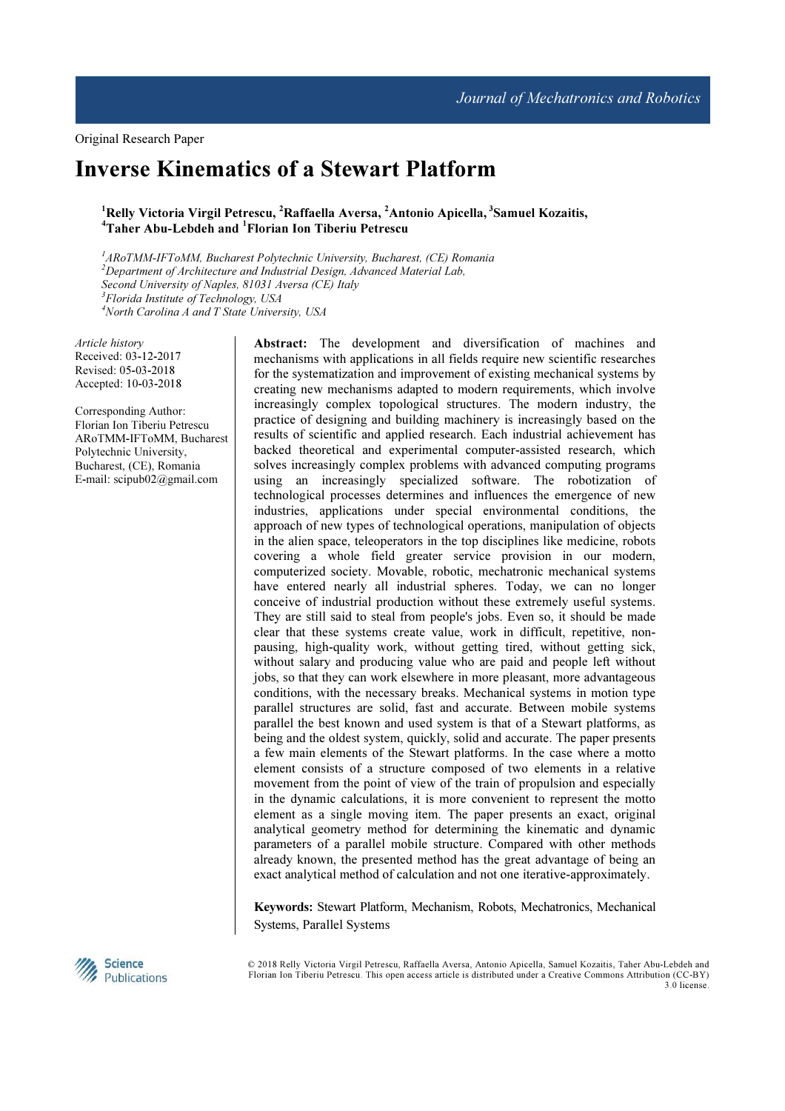# Inverse Kinematics of a Stewart Platform

# <sup>1</sup>Relly Victoria Virgil Petrescu, <sup>2</sup>Raffaella Aversa, <sup>2</sup>Antonio Apicella, <sup>3</sup>Samuel Kozaitis, <sup>4</sup>Taher Abu-Lebdeh and <sup>1</sup>Florian Ion Tiberiu Petrescu

 ${}^{1}$ ARoTMM-IFToMM, Bucharest Polytechnic University, Bucharest, (CE) Romania  $2$ Department of Architecture and Industrial Design, Advanced Material Lab, Second University of Naples, 81031 Aversa (CE) Italy <sup>3</sup>Florida Institute of Technology, USA  $4$ North Carolina A and T State University, USA

Article history Received: 03-12-2017 Revised: 05-03-2018 Accepted: 10-03-2018

Corresponding Author: Florian Ion Tiberiu Petrescu ARoTMM-IFToMM, Bucharest Polytechnic University, Bucharest, (CE), Romania E-mail: scipub02@gmail.com

Abstract: The development and diversification of machines and mechanisms with applications in all fields require new scientific researches for the systematization and improvement of existing mechanical systems by creating new mechanisms adapted to modern requirements, which involve increasingly complex topological structures. The modern industry, the practice of designing and building machinery is increasingly based on the results of scientific and applied research. Each industrial achievement has backed theoretical and experimental computer-assisted research, which solves increasingly complex problems with advanced computing programs using an increasingly specialized software. The robotization of technological processes determines and influences the emergence of new industries, applications under special environmental conditions, the approach of new types of technological operations, manipulation of objects in the alien space, teleoperators in the top disciplines like medicine, robots covering a whole field greater service provision in our modern, computerized society. Movable, robotic, mechatronic mechanical systems have entered nearly all industrial spheres. Today, we can no longer conceive of industrial production without these extremely useful systems. They are still said to steal from people's jobs. Even so, it should be made clear that these systems create value, work in difficult, repetitive, nonpausing, high-quality work, without getting tired, without getting sick, without salary and producing value who are paid and people left without jobs, so that they can work elsewhere in more pleasant, more advantageous conditions, with the necessary breaks. Mechanical systems in motion type parallel structures are solid, fast and accurate. Between mobile systems parallel the best known and used system is that of a Stewart platforms, as being and the oldest system, quickly, solid and accurate. The paper presents a few main elements of the Stewart platforms. In the case where a motto element consists of a structure composed of two elements in a relative movement from the point of view of the train of propulsion and especially in the dynamic calculations, it is more convenient to represent the motto element as a single moving item. The paper presents an exact, original analytical geometry method for determining the kinematic and dynamic parameters of a parallel mobile structure. Compared with other methods already known, the presented method has the great advantage of being an exact analytical method of calculation and not one iterative-approximately.

Keywords: Stewart Platform, Mechanism, Robots, Mechatronics, Mechanical Systems, Parallel Systems



© 2018 Relly Victoria Virgil Petrescu, Raffaella Aversa, Antonio Apicella, Samuel Kozaitis, Taher Abu-Lebdeh and Florian Ion Tiberiu Petrescu. This open access article is distributed under a Creative Commons Attribution (CC-BY) 3.0 license.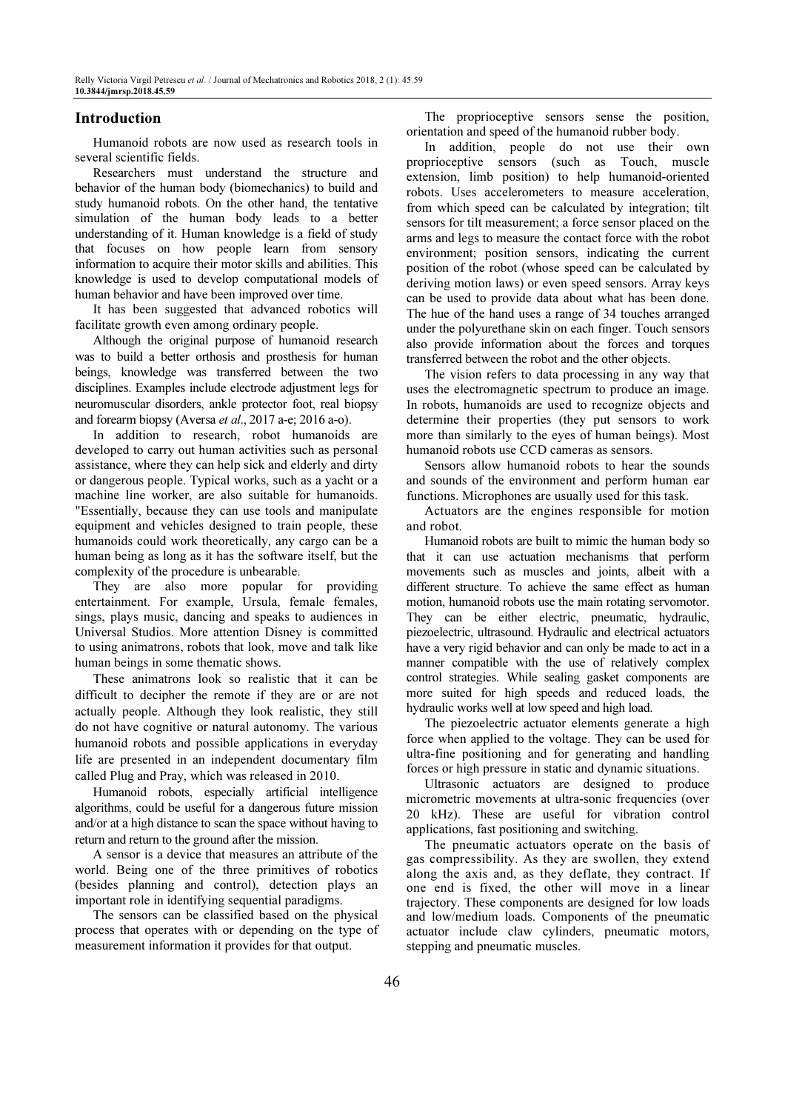# Introduction

Humanoid robots are now used as research tools in several scientific fields.

Researchers must understand the structure and behavior of the human body (biomechanics) to build and study humanoid robots. On the other hand, the tentative simulation of the human body leads to a better understanding of it. Human knowledge is a field of study that focuses on how people learn from sensory information to acquire their motor skills and abilities. This knowledge is used to develop computational models of human behavior and have been improved over time.

It has been suggested that advanced robotics will facilitate growth even among ordinary people.

Although the original purpose of humanoid research was to build a better orthosis and prosthesis for human beings, knowledge was transferred between the two disciplines. Examples include electrode adjustment legs for neuromuscular disorders, ankle protector foot, real biopsy and forearm biopsy (Aversa et al., 2017 a-e; 2016 a-o).

In addition to research, robot humanoids are developed to carry out human activities such as personal assistance, where they can help sick and elderly and dirty or dangerous people. Typical works, such as a yacht or a machine line worker, are also suitable for humanoids. "Essentially, because they can use tools and manipulate equipment and vehicles designed to train people, these humanoids could work theoretically, any cargo can be a human being as long as it has the software itself, but the complexity of the procedure is unbearable.

They are also more popular for providing entertainment. For example, Ursula, female females, sings, plays music, dancing and speaks to audiences in Universal Studios. More attention Disney is committed to using animatrons, robots that look, move and talk like human beings in some thematic shows.

These animatrons look so realistic that it can be difficult to decipher the remote if they are or are not actually people. Although they look realistic, they still do not have cognitive or natural autonomy. The various humanoid robots and possible applications in everyday life are presented in an independent documentary film called Plug and Pray, which was released in 2010.

Humanoid robots, especially artificial intelligence algorithms, could be useful for a dangerous future mission and/or at a high distance to scan the space without having to return and return to the ground after the mission.

A sensor is a device that measures an attribute of the world. Being one of the three primitives of robotics (besides planning and control), detection plays an important role in identifying sequential paradigms.

The sensors can be classified based on the physical process that operates with or depending on the type of measurement information it provides for that output.

The proprioceptive sensors sense the position, orientation and speed of the humanoid rubber body.

In addition, people do not use their own proprioceptive sensors (such as Touch, muscle extension, limb position) to help humanoid-oriented robots. Uses accelerometers to measure acceleration, from which speed can be calculated by integration; tilt sensors for tilt measurement; a force sensor placed on the arms and legs to measure the contact force with the robot environment; position sensors, indicating the current position of the robot (whose speed can be calculated by deriving motion laws) or even speed sensors. Array keys can be used to provide data about what has been done. The hue of the hand uses a range of 34 touches arranged under the polyurethane skin on each finger. Touch sensors also provide information about the forces and torques transferred between the robot and the other objects.

The vision refers to data processing in any way that uses the electromagnetic spectrum to produce an image. In robots, humanoids are used to recognize objects and determine their properties (they put sensors to work more than similarly to the eyes of human beings). Most humanoid robots use CCD cameras as sensors.

Sensors allow humanoid robots to hear the sounds and sounds of the environment and perform human ear functions. Microphones are usually used for this task.

Actuators are the engines responsible for motion and robot.

Humanoid robots are built to mimic the human body so that it can use actuation mechanisms that perform movements such as muscles and joints, albeit with a different structure. To achieve the same effect as human motion, humanoid robots use the main rotating servomotor. They can be either electric, pneumatic, hydraulic, piezoelectric, ultrasound. Hydraulic and electrical actuators have a very rigid behavior and can only be made to act in a manner compatible with the use of relatively complex control strategies. While sealing gasket components are more suited for high speeds and reduced loads, the hydraulic works well at low speed and high load.

The piezoelectric actuator elements generate a high force when applied to the voltage. They can be used for ultra-fine positioning and for generating and handling forces or high pressure in static and dynamic situations.

Ultrasonic actuators are designed to produce micrometric movements at ultra-sonic frequencies (over 20 kHz). These are useful for vibration control applications, fast positioning and switching.

The pneumatic actuators operate on the basis of gas compressibility. As they are swollen, they extend along the axis and, as they deflate, they contract. If one end is fixed, the other will move in a linear trajectory. These components are designed for low loads and low/medium loads. Components of the pneumatic actuator include claw cylinders, pneumatic motors, stepping and pneumatic muscles.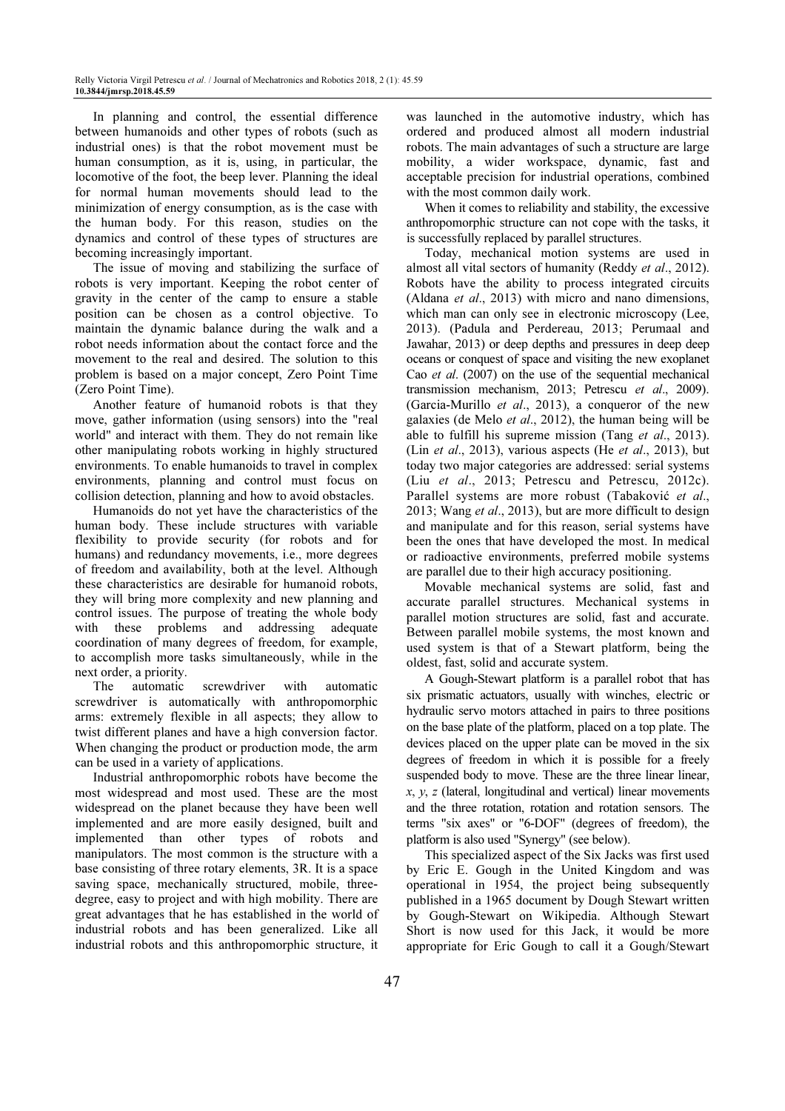In planning and control, the essential difference between humanoids and other types of robots (such as industrial ones) is that the robot movement must be human consumption, as it is, using, in particular, the locomotive of the foot, the beep lever. Planning the ideal for normal human movements should lead to the minimization of energy consumption, as is the case with the human body. For this reason, studies on the dynamics and control of these types of structures are becoming increasingly important.

The issue of moving and stabilizing the surface of robots is very important. Keeping the robot center of gravity in the center of the camp to ensure a stable position can be chosen as a control objective. To maintain the dynamic balance during the walk and a robot needs information about the contact force and the movement to the real and desired. The solution to this problem is based on a major concept, Zero Point Time (Zero Point Time).

Another feature of humanoid robots is that they move, gather information (using sensors) into the "real world" and interact with them. They do not remain like other manipulating robots working in highly structured environments. To enable humanoids to travel in complex environments, planning and control must focus on collision detection, planning and how to avoid obstacles.

Humanoids do not yet have the characteristics of the human body. These include structures with variable flexibility to provide security (for robots and for humans) and redundancy movements, i.e., more degrees of freedom and availability, both at the level. Although these characteristics are desirable for humanoid robots, they will bring more complexity and new planning and control issues. The purpose of treating the whole body with these problems and addressing adequate coordination of many degrees of freedom, for example, to accomplish more tasks simultaneously, while in the next order, a priority.

The automatic screwdriver with automatic screwdriver is automatically with anthropomorphic arms: extremely flexible in all aspects; they allow to twist different planes and have a high conversion factor. When changing the product or production mode, the arm can be used in a variety of applications.

Industrial anthropomorphic robots have become the most widespread and most used. These are the most widespread on the planet because they have been well implemented and are more easily designed, built and implemented than other types of robots and manipulators. The most common is the structure with a base consisting of three rotary elements, 3R. It is a space saving space, mechanically structured, mobile, threedegree, easy to project and with high mobility. There are great advantages that he has established in the world of industrial robots and has been generalized. Like all industrial robots and this anthropomorphic structure, it

was launched in the automotive industry, which has ordered and produced almost all modern industrial robots. The main advantages of such a structure are large mobility, a wider workspace, dynamic, fast and acceptable precision for industrial operations, combined with the most common daily work.

When it comes to reliability and stability, the excessive anthropomorphic structure can not cope with the tasks, it is successfully replaced by parallel structures.

Today, mechanical motion systems are used in almost all vital sectors of humanity (Reddy et al., 2012). Robots have the ability to process integrated circuits (Aldana et al., 2013) with micro and nano dimensions, which man can only see in electronic microscopy (Lee, 2013). (Padula and Perdereau, 2013; Perumaal and Jawahar, 2013) or deep depths and pressures in deep deep oceans or conquest of space and visiting the new exoplanet Cao et al. (2007) on the use of the sequential mechanical transmission mechanism, 2013; Petrescu et al., 2009). (Garcia-Murillo et al., 2013), a conqueror of the new galaxies (de Melo et  $al$ , 2012), the human being will be able to fulfill his supreme mission (Tang et al., 2013). (Lin et al., 2013), various aspects (He et al., 2013), but today two major categories are addressed: serial systems (Liu et al., 2013; Petrescu and Petrescu, 2012c). Parallel systems are more robust (Tabaković et al., 2013; Wang et al., 2013), but are more difficult to design and manipulate and for this reason, serial systems have been the ones that have developed the most. In medical or radioactive environments, preferred mobile systems are parallel due to their high accuracy positioning.

Movable mechanical systems are solid, fast and accurate parallel structures. Mechanical systems in parallel motion structures are solid, fast and accurate. Between parallel mobile systems, the most known and used system is that of a Stewart platform, being the oldest, fast, solid and accurate system.

A Gough-Stewart platform is a parallel robot that has six prismatic actuators, usually with winches, electric or hydraulic servo motors attached in pairs to three positions on the base plate of the platform, placed on a top plate. The devices placed on the upper plate can be moved in the six degrees of freedom in which it is possible for a freely suspended body to move. These are the three linear linear,  $x, y, z$  (lateral, longitudinal and vertical) linear movements and the three rotation, rotation and rotation sensors. The terms "six axes" or "6-DOF" (degrees of freedom), the platform is also used "Synergy" (see below).

This specialized aspect of the Six Jacks was first used by Eric E. Gough in the United Kingdom and was operational in 1954, the project being subsequently published in a 1965 document by Dough Stewart written by Gough-Stewart on Wikipedia. Although Stewart Short is now used for this Jack, it would be more appropriate for Eric Gough to call it a Gough/Stewart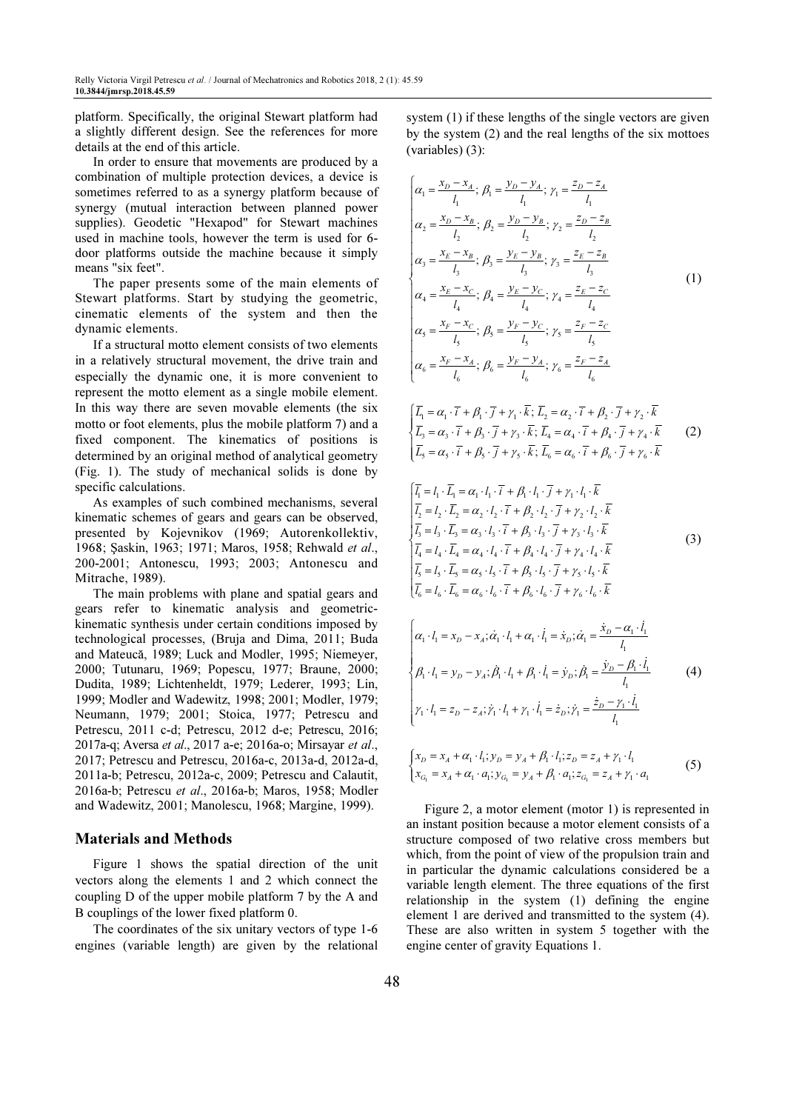platform. Specifically, the original Stewart platform had a slightly different design. See the references for more details at the end of this article.

In order to ensure that movements are produced by a combination of multiple protection devices, a device is sometimes referred to as a synergy platform because of synergy (mutual interaction between planned power supplies). Geodetic "Hexapod" for Stewart machines used in machine tools, however the term is used for 6 door platforms outside the machine because it simply means "six feet".

The paper presents some of the main elements of Stewart platforms. Start by studying the geometric, cinematic elements of the system and then the dynamic elements.

If a structural motto element consists of two elements in a relatively structural movement, the drive train and especially the dynamic one, it is more convenient to represent the motto element as a single mobile element. In this way there are seven movable elements (the six motto or foot elements, plus the mobile platform 7) and a fixed component. The kinematics of positions is determined by an original method of analytical geometry (Fig. 1). The study of mechanical solids is done by specific calculations.

As examples of such combined mechanisms, several kinematic schemes of gears and gears can be observed, presented by Kojevnikov (1969; Autorenkollektiv, 1968; Şaskin, 1963; 1971; Maros, 1958; Rehwald et al., 200-2001; Antonescu, 1993; 2003; Antonescu and Mitrache, 1989).

The main problems with plane and spatial gears and gears refer to kinematic analysis and geometrickinematic synthesis under certain conditions imposed by technological processes, (Bruja and Dima, 2011; Buda and Mateucă, 1989; Luck and Modler, 1995; Niemeyer, 2000; Tutunaru, 1969; Popescu, 1977; Braune, 2000; Dudita, 1989; Lichtenheldt, 1979; Lederer, 1993; Lin, 1999; Modler and Wadewitz, 1998; 2001; Modler, 1979; Neumann, 1979; 2001; Stoica, 1977; Petrescu and Petrescu, 2011 c-d; Petrescu, 2012 d-e; Petrescu, 2016; 2017a-q; Aversa et al., 2017 a-e; 2016a-o; Mirsayar et al., 2017; Petrescu and Petrescu, 2016a-c, 2013a-d, 2012a-d, 2011a-b; Petrescu, 2012a-c, 2009; Petrescu and Calautit, 2016a-b; Petrescu et al., 2016a-b; Maros, 1958; Modler and Wadewitz, 2001; Manolescu, 1968; Margine, 1999).

#### Materials and Methods

Figure 1 shows the spatial direction of the unit vectors along the elements 1 and 2 which connect the coupling D of the upper mobile platform 7 by the A and B couplings of the lower fixed platform 0.

The coordinates of the six unitary vectors of type 1-6 engines (variable length) are given by the relational

system (1) if these lengths of the single vectors are given by the system (2) and the real lengths of the six mottoes (variables) (3):

$$
\begin{cases}\n\alpha_1 = \frac{x_D - x_A}{l_1}; \ \beta_1 = \frac{y_D - y_A}{l_1}; \ \gamma_1 = \frac{z_D - z_A}{l_1} \\
\alpha_2 = \frac{x_D - x_B}{l_2}; \ \beta_2 = \frac{y_D - y_B}{l_2}; \ \gamma_2 = \frac{z_D - z_B}{l_2} \\
\alpha_3 = \frac{x_E - x_B}{l_3}; \ \beta_3 = \frac{y_E - y_B}{l_3}; \ \gamma_3 = \frac{z_E - z_B}{l_3} \\
\alpha_4 = \frac{x_E - x_C}{l_4}; \ \beta_4 = \frac{y_E - y_C}{l_4}; \ \gamma_4 = \frac{z_E - z_C}{l_4} \\
\alpha_5 = \frac{x_F - x_C}{l_5}; \ \beta_5 = \frac{y_F - y_C}{l_5}; \ \gamma_5 = \frac{z_F - z_C}{l_5} \\
\alpha_6 = \frac{x_F - x_A}{l_6}; \ \beta_6 = \frac{y_F - y_A}{l_6}; \ \gamma_6 = \frac{z_F - z_A}{l_6}\n\end{cases} (1)
$$

$$
\begin{cases}\n\overline{L}_1 = \alpha_1 \cdot \overline{i} + \beta_1 \cdot \overline{j} + \gamma_1 \cdot \overline{k}; \ \overline{L}_2 = \alpha_2 \cdot \overline{i} + \beta_2 \cdot \overline{j} + \gamma_2 \cdot \overline{k} \\
\overline{L}_3 = \alpha_3 \cdot \overline{i} + \beta_3 \cdot \overline{j} + \gamma_3 \cdot \overline{k}; \ \overline{L}_4 = \alpha_4 \cdot \overline{i} + \beta_4 \cdot \overline{j} + \gamma_4 \cdot \overline{k} \\
\overline{L}_5 = \alpha_5 \cdot \overline{i} + \beta_5 \cdot \overline{j} + \gamma_5 \cdot \overline{k}; \ \overline{L}_6 = \alpha_6 \cdot \overline{i} + \beta_6 \cdot \overline{j} + \gamma_6 \cdot \overline{k}\n\end{cases} (2)
$$

$$
\begin{cases}\n\overline{l_1} = l_1 \cdot \overline{L_1} = \alpha_1 \cdot l_1 \cdot \overline{i} + \beta_1 \cdot l_1 \cdot \overline{j} + \gamma_1 \cdot l_1 \cdot \overline{k} \\
\overline{l_2} = l_2 \cdot \overline{L_2} = \alpha_2 \cdot l_2 \cdot \overline{i} + \beta_2 \cdot l_2 \cdot \overline{j} + \gamma_2 \cdot l_2 \cdot \overline{k} \\
\overline{l_3} = l_3 \cdot \overline{L_3} = \alpha_3 \cdot l_3 \cdot \overline{i} + \beta_3 \cdot l_3 \cdot \overline{j} + \gamma_3 \cdot l_3 \cdot \overline{k} \\
\overline{l_4} = l_4 \cdot \overline{L_4} = \alpha_4 \cdot l_4 \cdot \overline{i} + \beta_4 \cdot l_4 \cdot \overline{j} + \gamma_4 \cdot l_4 \cdot \overline{k} \\
\overline{l_5} = l_5 \cdot \overline{L_5} = \alpha_5 \cdot l_5 \cdot \overline{i} + \beta_5 \cdot l_5 \cdot \overline{j} + \gamma_5 \cdot l_5 \cdot \overline{k} \\
\overline{l_6} = l_6 \cdot \overline{L_6} = \alpha_6 \cdot l_6 \cdot \overline{i} + \beta_6 \cdot l_6 \cdot \overline{j} + \gamma_6 \cdot l_6 \cdot \overline{k}\n\end{cases}
$$
\n(3)

$$
\begin{cases}\n\alpha_1 \cdot l_1 = x_D - x_A; \dot{\alpha}_1 \cdot l_1 + \alpha_1 \cdot \dot{l}_1 = \dot{x}_D; \dot{\alpha}_1 = \frac{\dot{x}_D - \alpha_1 \cdot \dot{l}_1}{l_1} \\
\beta_1 \cdot l_1 = y_D - y_A; \dot{\beta}_1 \cdot l_1 + \beta_1 \cdot \dot{l}_1 = \dot{y}_D; \dot{\beta}_1 = \frac{\dot{y}_D - \beta_1 \cdot \dot{l}_1}{l_1}\n\end{cases} (4)
$$
\n
$$
\gamma_1 \cdot l_1 = z_D - z_A; \dot{\gamma}_1 \cdot l_1 + \gamma_1 \cdot \dot{l}_1 = \dot{z}_D; \dot{\gamma}_1 = \frac{\dot{z}_D - \gamma_1 \cdot \dot{l}_1}{l_1}
$$

$$
\begin{cases} x_D = x_A + \alpha_1 \cdot l_1; y_D = y_A + \beta_1 \cdot l_1; z_D = z_A + \gamma_1 \cdot l_1 \\ x_{G_1} = x_A + \alpha_1 \cdot a_1; y_{G_1} = y_A + \beta_1 \cdot a_1; z_{G_1} = z_A + \gamma_1 \cdot a_1 \end{cases}
$$
(5)

Figure 2, a motor element (motor 1) is represented in an instant position because a motor element consists of a structure composed of two relative cross members but which, from the point of view of the propulsion train and in particular the dynamic calculations considered be a variable length element. The three equations of the first relationship in the system (1) defining the engine element 1 are derived and transmitted to the system (4). These are also written in system 5 together with the engine center of gravity Equations 1.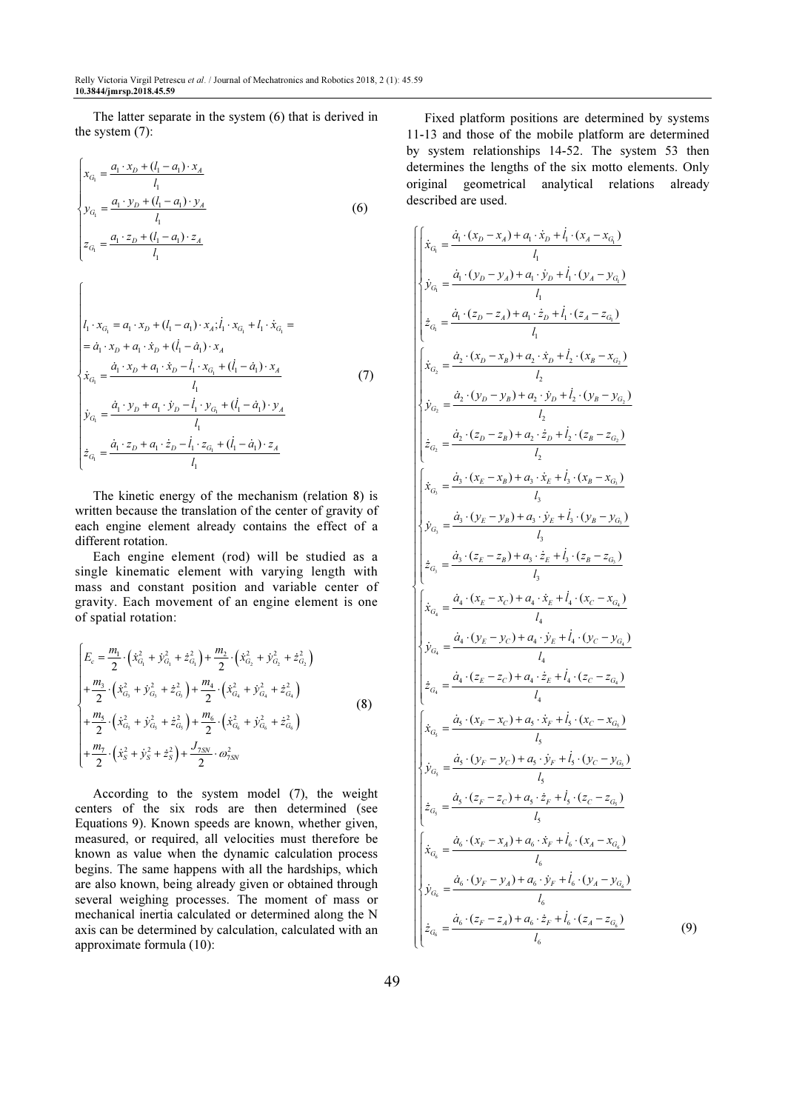The latter separate in the system (6) that is derived in the system (7):

$$
\begin{cases}\n x_{G_1} = \frac{a_1 \cdot x_D + (l_1 - a_1) \cdot x_A}{l_1} \\
 y_{G_1} = \frac{a_1 \cdot y_D + (l_1 - a_1) \cdot y_A}{l_1} \\
 z_{G_1} = \frac{a_1 \cdot z_D + (l_1 - a_1) \cdot z_A}{l_1}\n\end{cases}
$$
\n(6)

ſ

$$
\begin{vmatrix}\n l_1 \cdot x_{G_1} = a_1 \cdot x_D + (l_1 - a_1) \cdot x_A; \dot{l}_1 \cdot x_{G_1} + l_1 \cdot \dot{x}_{G_1} = \\
 = \dot{a}_1 \cdot x_D + a_1 \cdot \dot{x}_D + (\dot{l}_1 - \dot{a}_1) \cdot x_A \\
 \dot{x}_{G_1} = \frac{\dot{a}_1 \cdot x_D + a_1 \cdot \dot{x}_D - \dot{l}_1 \cdot x_{G_1} + (\dot{l}_1 - \dot{a}_1) \cdot x_A}{l_1} \\
 \dot{y}_{G_1} = \frac{\dot{a}_1 \cdot y_D + a_1 \cdot \dot{y}_D - \dot{l}_1 \cdot y_{G_1} + (\dot{l}_1 - \dot{a}_1) \cdot y_A}{l_1} \\
 \dot{z}_{G_1} = \frac{\dot{a}_1 \cdot z_D + a_1 \cdot \dot{z}_D - \dot{l}_1 \cdot z_{G_1} + (\dot{l}_1 - \dot{a}_1) \cdot z_A}{l_1}\n \end{vmatrix}
$$
\n(7)

The kinetic energy of the mechanism (relation 8) is written because the translation of the center of gravity of each engine element already contains the effect of a different rotation.

Each engine element (rod) will be studied as a single kinematic element with varying length with mass and constant position and variable center of gravity. Each movement of an engine element is one of spatial rotation:

$$
\begin{cases}\nE_c = \frac{m_1}{2} \cdot (\dot{x}_{G_1}^2 + \dot{y}_{G_1}^2 + \dot{z}_{G_1}^2) + \frac{m_2}{2} \cdot (\dot{x}_{G_2}^2 + \dot{y}_{G_2}^2 + \dot{z}_{G_2}^2) \\
+ \frac{m_3}{2} \cdot (\dot{x}_{G_3}^2 + \dot{y}_{G_3}^2 + \dot{z}_{G_3}^2) + \frac{m_4}{2} \cdot (\dot{x}_{G_4}^2 + \dot{y}_{G_4}^2 + \dot{z}_{G_4}^2) \\
+ \frac{m_5}{2} \cdot (\dot{x}_{G_5}^2 + \dot{y}_{G_5}^2 + \dot{z}_{G_5}^2) + \frac{m_6}{2} \cdot (\dot{x}_{G_6}^2 + \dot{y}_{G_6}^2 + \dot{z}_{G_6}^2) \\
+ \frac{m_7}{2} \cdot (\dot{x}_S^2 + \dot{y}_S^2 + \dot{z}_S^2) + \frac{J_{7SN}}{2} \cdot \omega_{7SN}^2\n\end{cases}
$$
\n(8)

According to the system model (7), the weight centers of the six rods are then determined (see Equations 9). Known speeds are known, whether given, measured, or required, all velocities must therefore be known as value when the dynamic calculation process begins. The same happens with all the hardships, which are also known, being already given or obtained through several weighing processes. The moment of mass or mechanical inertia calculated or determined along the N axis can be determined by calculation, calculated with an approximate formula (10):

Fixed platform positions are determined by systems 11-13 and those of the mobile platform are determined by system relationships 14-52. The system 53 then determines the lengths of the six motto elements. Only original geometrical analytical relations already described are used.

$$
\begin{cases}\n\dot{x}_{G_1} = \frac{\dot{a}_1 \cdot (x_D - x_A) + a_1 \cdot \dot{x}_D + \dot{l}_1 \cdot (x_A - x_{G_1})}{l_1} \\
\dot{y}_{G_1} = \frac{\dot{a}_1 \cdot (y_D - y_A) + a_1 \cdot \dot{y}_D + \dot{l}_1 \cdot (y_A - y_{G_1})}{l_1} \\
\dot{z}_{G_1} = \frac{\dot{a}_1 \cdot (z_D - z_A) + a_1 \cdot \dot{z}_D + \dot{l}_1 \cdot (z_A - z_{G_1})}{l_1} \\
\dot{x}_{G_2} = \frac{\dot{a}_2 \cdot (x_D - x_B) + a_2 \cdot \dot{x}_D + \dot{l}_2 \cdot (x_B - x_{G_2})}{l_2} \\
\dot{y}_{G_2} = \frac{\dot{a}_2 \cdot (y_D - y_B) + a_2 \cdot \dot{y}_D + \dot{l}_2 \cdot (y_B - y_{G_2})}{l_2} \\
\dot{z}_{G_2} = \frac{\dot{a}_2 \cdot (z_D - z_B) + a_2 \cdot \dot{z}_D + \dot{l}_2 \cdot (z_B - z_{G_2})}{l_2} \\
\dot{z}_{G_3} = \frac{\dot{a}_3 \cdot (x_E - x_B) + a_3 \cdot \dot{x}_E + \dot{l}_3 \cdot (x_B - x_{G_3})}{l_3} \\
\dot{y}_{G_3} = \frac{\dot{a}_3 \cdot (y_E - y_B) + a_3 \cdot \dot{y}_E + \dot{l}_3 \cdot (y_B - y_{G_3})}{l_3} \\
\dot{z}_{G_4} = \frac{\dot{a}_4 \cdot (y_E - y_D) + a_3 \cdot \dot{z}_E + \dot{l}_3 \cdot (z_B - z_{G_4})}{l_3} \\
\dot{z}_{G_4} = \frac{\dot{a}_4 \cdot (x_E - x_C) + a_4 \cdot \dot{x}_E + \dot{l}_4 \cdot (x_C - x_{G_4})}{l_4} \\
\dot{y}_{G_4} = \frac{\dot{a}_4 \cdot (x_E - x_C) + a_4 \cdot \dot{x}_E + \dot{l}_4 \cdot (y_C - y_{G_4})}{l_4} \\
\dot{z}_{G_4} = \frac{\dot{a}_4 \cdot (z_E - z_C) + a_3 \cdot \dot{x}_F + \dot{l}_3 \cdot (z_C - z_{G_4})}{l_5} \\
\dot{y}_{G
$$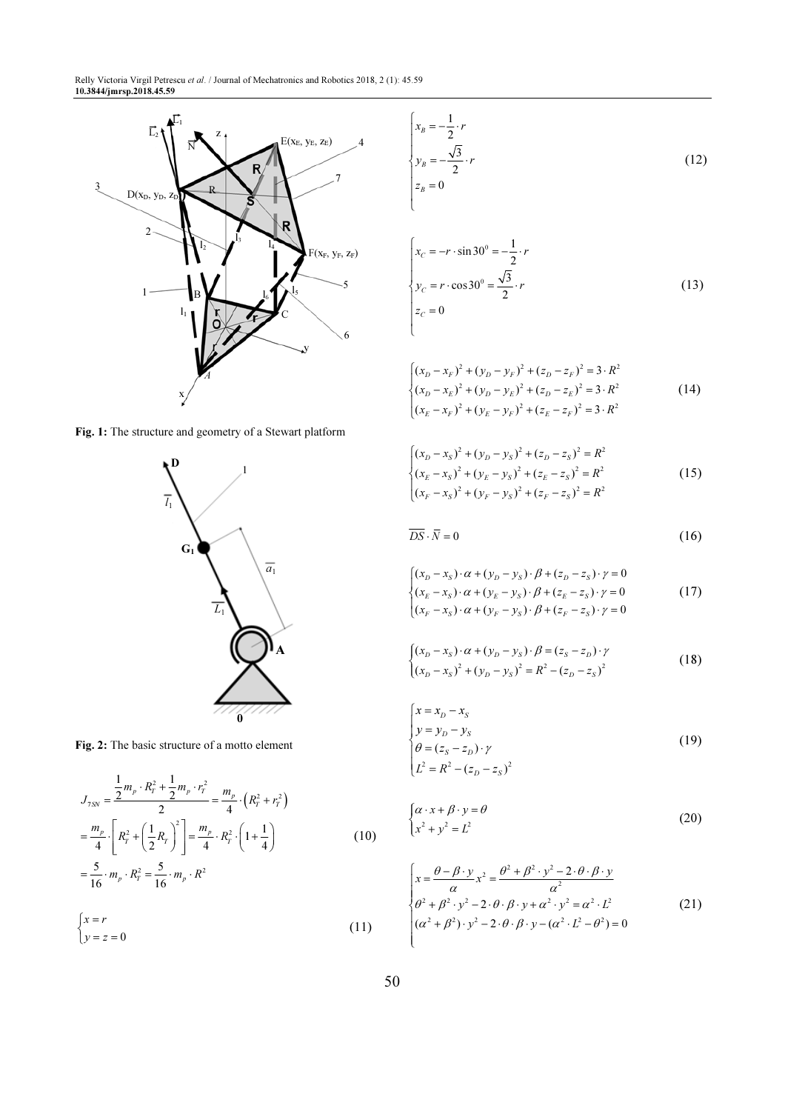

Fig. 1: The structure and geometry of a Stewart platform



Fig. 2: The basic structure of a motto element

$$
J_{7SN} = \frac{\frac{1}{2}m_p \cdot R_r^2 + \frac{1}{2}m_p \cdot r_r^2}{2} = \frac{m_p}{4} \cdot \left(R_r^2 + r_r^2\right)
$$
  

$$
= \frac{m_p}{4} \cdot \left[R_r^2 + \left(\frac{1}{2}R_r\right)^2\right] = \frac{m_p}{4} \cdot R_r^2 \cdot \left(1 + \frac{1}{4}\right)
$$
  

$$
= \frac{5}{16} \cdot m_p \cdot R_r^2 = \frac{5}{16} \cdot m_p \cdot R^2
$$
 (10)

$$
\begin{cases} x = r \\ y = z = 0 \end{cases} \tag{11}
$$

$$
\begin{cases}\n x_B = -\frac{1}{2} \cdot r \\
 y_B = -\frac{\sqrt{3}}{2} \cdot r \\
 z_B = 0\n\end{cases}
$$
\n(12)

$$
\begin{cases}\nx_C = -r \cdot \sin 30^\circ = -\frac{1}{2} \cdot r \\
y_C = r \cdot \cos 30^\circ = \frac{\sqrt{3}}{2} \cdot r \\
z_C = 0\n\end{cases}
$$
\n(13)

$$
\begin{cases}\n(x_D - x_F)^2 + (y_D - y_F)^2 + (z_D - z_F)^2 = 3 \cdot R^2 \\
(x_D - x_E)^2 + (y_D - y_E)^2 + (z_D - z_E)^2 = 3 \cdot R^2 \\
(x_E - x_F)^2 + (y_E - y_F)^2 + (z_E - z_F)^2 = 3 \cdot R^2\n\end{cases}
$$
\n(14)

$$
\begin{cases}\n(x_D - x_S)^2 + (y_D - y_S)^2 + (z_D - z_S)^2 = R^2 \\
(x_E - x_S)^2 + (y_E - y_S)^2 + (z_E - z_S)^2 = R^2 \\
(x_F - x_S)^2 + (y_F - y_S)^2 + (z_F - z_S)^2 = R^2\n\end{cases}
$$
\n(15)

$$
\overline{DS} \cdot \overline{N} = 0 \tag{16}
$$

$$
\begin{cases}\n(x_D - x_S) \cdot \alpha + (y_D - y_S) \cdot \beta + (z_D - z_S) \cdot \gamma = 0 \\
(x_E - x_S) \cdot \alpha + (y_E - y_S) \cdot \beta + (z_E - z_S) \cdot \gamma = 0 \\
(x_F - x_S) \cdot \alpha + (y_F - y_S) \cdot \beta + (z_F - z_S) \cdot \gamma = 0\n\end{cases}
$$
\n(17)

$$
\begin{cases} (x_D - x_S) \cdot \alpha + (y_D - y_S) \cdot \beta = (z_S - z_D) \cdot \gamma \\ (x_D - x_S)^2 + (y_D - y_S)^2 = R^2 - (z_D - z_S)^2 \end{cases}
$$
 (18)

$$
\begin{cases}\n x = x_D - x_S \\
 y = y_D - y_S \\
 \theta = (z_S - z_D) \cdot \gamma \\
 L^2 = R^2 - (z_D - z_S)^2\n\end{cases}
$$
\n(19)

$$
\begin{cases} \alpha \cdot x + \beta \cdot y = \theta \\ x^2 + y^2 = L^2 \end{cases}
$$
 (20)

$$
\begin{cases}\n x = \frac{\theta - \beta \cdot y}{\alpha} x^2 = \frac{\theta^2 + \beta^2 \cdot y^2 - 2 \cdot \theta \cdot \beta \cdot y}{\alpha^2} \\
 \theta^2 + \beta^2 \cdot y^2 - 2 \cdot \theta \cdot \beta \cdot y + \alpha^2 \cdot y^2 = \alpha^2 \cdot L^2 \\
 (\alpha^2 + \beta^2) \cdot y^2 - 2 \cdot \theta \cdot \beta \cdot y - (\alpha^2 \cdot L^2 - \theta^2) = 0\n\end{cases}
$$
\n(21)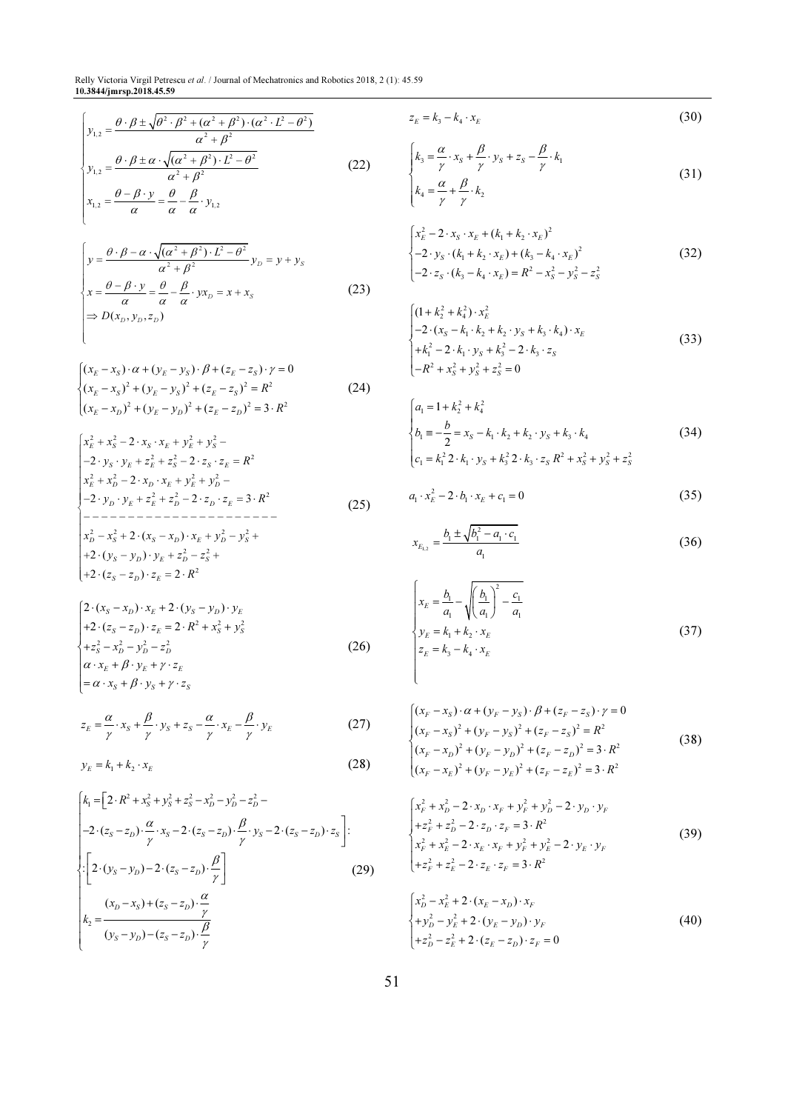Relly Victoria Virgil Petrescu et al. / Journal of Mechatronics and Robotics 2018, 2 (1): 45.59 10.3844/jmrsp.2018.45.59

$$
\begin{cases}\ny_{1,2} = \frac{\theta \cdot \beta \pm \sqrt{\theta^2 \cdot \beta^2 + (\alpha^2 + \beta^2) \cdot (\alpha^2 \cdot L^2 - \theta^2)}}{\alpha^2 + \beta^2} & z_E = k_3 - k_4 \cdot x_E \\
y_{1,2} = \frac{\theta \cdot \beta \pm \alpha \cdot \sqrt{(\alpha^2 + \beta^2) \cdot L^2 - \theta^2}}{\alpha^2 + \beta^2} & (22) \end{cases}
$$
\n
$$
\begin{cases}\nk_3 = \frac{\alpha}{\gamma} \cdot x_S + \frac{\beta}{\gamma} \cdot y_S + z_S - \frac{\beta}{\gamma} \cdot k_1\n\end{cases}
$$

$$
\begin{cases}\ny_{1,2} = \frac{\alpha^2 + \beta^2}{\alpha^2 + \beta^2} \\
x_{1,2} = \frac{\theta - \beta \cdot y}{\alpha} = \frac{\theta}{\alpha} - \frac{\beta}{\alpha} \cdot y_{1,2}\n\end{cases}
$$
\n(22)

$$
\begin{cases}\ny = \frac{\theta \cdot \beta - \alpha \cdot \sqrt{(\alpha^2 + \beta^2) \cdot L^2 - \theta^2}}{\alpha^2 + \beta^2} y_D = y + y_S \\
x = \frac{\theta - \beta \cdot y}{\alpha} = \frac{\theta}{\alpha} - \frac{\beta}{\alpha} \cdot y_x = x + x_S \\
\Rightarrow D(x_D, y_D, z_D)\n\end{cases}
$$
\n(23)

$$
\begin{cases}\n(x_E - x_S) \cdot \alpha + (y_E - y_S) \cdot \beta + (z_E - z_S) \cdot \gamma = 0 \\
(x_E - x_S)^2 + (y_E - y_S)^2 + (z_E - z_S)^2 = R^2 \\
(x_E - x_D)^2 + (y_E - y_D)^2 + (z_E - z_D)^2 = 3 \cdot R^2\n\end{cases}
$$
\n(24)

l

$$
\begin{cases}\nx_E^2 + x_S^2 - 2 \cdot x_S \cdot x_E + y_E^2 + y_S^2 - \\
-2 \cdot y_S \cdot y_E + z_E^2 + z_S^2 - 2 \cdot z_S \cdot z_E = R^2 \\
x_E^2 + x_D^2 - 2 \cdot x_D \cdot x_E + y_E^2 + y_D^2 - \\
-2 \cdot y_D \cdot y_E + z_E^2 + z_D^2 - 2 \cdot z_D \cdot z_E = 3 \cdot R^2 \\
-\n- - - - - - - - - - - - - - - - \\
x_D^2 - x_S^2 + 2 \cdot (x_S - x_D) \cdot x_E + y_D^2 - y_S^2 + \\
+2 \cdot (y_S - y_D) \cdot y_E + z_D^2 - z_S^2 + \\
+2 \cdot (z_S - z_D) \cdot z_E = 2 \cdot R^2\n\end{cases} (25)
$$

$$
\begin{cases}\n2 \cdot (x_S - x_D) \cdot x_E + 2 \cdot (y_S - y_D) \cdot y_E \\
+ 2 \cdot (z_S - z_D) \cdot z_E = 2 \cdot R^2 + x_S^2 + y_S^2 \\
+ z_S^2 - x_D^2 - y_D^2 - z_D^2 \\
\alpha \cdot x_E + \beta \cdot y_E + \gamma \cdot z_E \\
= \alpha \cdot x_S + \beta \cdot y_S + \gamma \cdot z_S\n\end{cases}
$$
\n(26)

$$
z_E = \frac{\alpha}{\gamma} \cdot x_S + \frac{\beta}{\gamma} \cdot y_S + z_S - \frac{\alpha}{\gamma} \cdot x_E - \frac{\beta}{\gamma} \cdot y_E
$$
 (27)

$$
y_E = k_1 + k_2 \cdot x_E \tag{28}
$$

$$
\begin{bmatrix}\nk_1 = \left[2 \cdot R^2 + x_s^2 + y_s^2 + z_s^2 - x_D^2 - y_D^2 - z_D^2 - \frac{1}{2}z_D^2 - \frac{1}{2}z_D^2 - \frac{1}{2}z_D^2 - \frac{1}{2}z_D^2 - \frac{1}{2}z_D^2 - \frac{1}{2}z_D^2 - \frac{1}{2}z_D^2 - \frac{1}{2}z_D^2 - \frac{1}{2}z_D^2 - \frac{1}{2}z_D^2 - \frac{1}{2}z_D^2 - \frac{1}{2}z_D^2 - \frac{1}{2}z_D^2 - \frac{1}{2}z_D^2 - \frac{1}{2}z_D^2 - \frac{1}{2}z_D^2 - \frac{1}{2}z_D^2 - \frac{1}{2}z_D^2 - \frac{1}{2}z_D^2 - \frac{1}{2}z_D^2 - \frac{1}{2}z_D^2 - \frac{1}{2}z_D^2 - \frac{1}{2}z_D^2 - \frac{1}{2}z_D^2 - \frac{1}{2}z_D^2 - \frac{1}{2}z_D^2 - \frac{1}{2}z_D^2 - \frac{1}{2}z_D^2 - \frac{1}{2}z_D^2 - \frac{1}{2}z_D^2 - \frac{1}{2}z_D^2 - \frac{1}{2}z_D^2 - \frac{1}{2}z_D^2 - \frac{1}{2}z_D^2 - \frac{1}{2}z_D^2 - \frac{1}{2}z_D^2 - \frac{1}{2}z_D^2 - \frac{1}{2}z_D^2 - \frac{1}{2}z_D^2 - \frac{1}{2}z_D^2 - \frac{1}{2}z_D^2 - \frac{1}{2}z_D^2 - \frac{1}{2}z_D^2 - \frac{1}{2}z_D^2 - \frac{1}{2}z_D^2 - \frac{1}{2}z_D^2 - \frac{1}{2}z_D^2 - \frac{1}{2}z_D^2 - \frac{1}{2}z_D^2 - \frac{1}{2}z_D^2 - \frac{1}{2}z_D^2 - \frac{1}{2}z_D^2 - \frac{1}{2}z_D^2 - \frac{1}{2}z_D^2 - \frac{1}{2}z_D^2 - \frac{1}{2}z_D^2 - \frac{1}{2}z_D^2 - \frac{1}{2}z_D^2 - \frac{1}{2}z_D^2 - \frac
$$

$$
z_E = k_3 - k_4 \cdot x_E \tag{30}
$$

$$
\begin{cases}\nk_3 = \frac{\alpha}{\gamma} \cdot x_s + \frac{\beta}{\gamma} \cdot y_s + z_s - \frac{\beta}{\gamma} \cdot k_1 \\
k_4 = \frac{\alpha}{\gamma} + \frac{\beta}{\gamma} \cdot k_2\n\end{cases}
$$
\n(31)

$$
\begin{cases}\nx_E^2 - 2 \cdot x_S \cdot x_E + (k_1 + k_2 \cdot x_E)^2 \\
-2 \cdot y_S \cdot (k_1 + k_2 \cdot x_E) + (k_3 - k_4 \cdot x_E)^2 \\
-2 \cdot z_S \cdot (k_3 - k_4 \cdot x_E) = R^2 - x_S^2 - y_S^2 - z_S^2\n\end{cases}
$$
\n(32)

$$
\begin{cases}\n(1 + k_2^2 + k_4^2) \cdot x_E^2 \\
-2 \cdot (x_S - k_1 \cdot k_2 + k_2 \cdot y_S + k_3 \cdot k_4) \cdot x_E \\
+k_1^2 - 2 \cdot k_1 \cdot y_S + k_3^2 - 2 \cdot k_3 \cdot z_S \\
-R^2 + x_S^2 + y_S^2 + z_S^2 = 0\n\end{cases}
$$
\n(33)

$$
\begin{cases}\na_1 = 1 + k_2^2 + k_4^2 \\
b_1 = -\frac{b}{2} = x_s - k_1 \cdot k_2 + k_2 \cdot y_s + k_3 \cdot k_4 \\
c_1 = k_1^2 \cdot k_1 \cdot y_s + k_3^2 \cdot k_3 \cdot z_s \cdot R^2 + x_s^2 + y_s^2 + z_s^2\n\end{cases}
$$
\n(34)

$$
a_1 \cdot x_E^2 - 2 \cdot b_1 \cdot x_E + c_1 = 0 \tag{35}
$$

$$
x_{E_{1,2}} = \frac{b_1 \pm \sqrt{b_1^2 - a_1 \cdot c_1}}{a_1} \tag{36}
$$

$$
\begin{cases}\n x_E = \frac{b_1}{a_1} - \sqrt{\left(\frac{b_1}{a_1}\right)^2 - \frac{c_1}{a_1}} \\
 y_E = k_1 + k_2 \cdot x_E \\
 z_E = k_3 - k_4 \cdot x_E\n\end{cases}
$$
\n(37)

$$
\begin{cases}\n(x_F - x_S) \cdot \alpha + (y_F - y_S) \cdot \beta + (z_F - z_S) \cdot \gamma = 0 \\
(x_F - x_S)^2 + (y_F - y_S)^2 + (z_F - z_S)^2 = R^2 \\
(x_F - x_D)^2 + (y_F - y_D)^2 + (z_F - z_D)^2 = 3 \cdot R^2 \\
(x_F - x_E)^2 + (y_F - y_E)^2 + (z_F - z_E)^2 = 3 \cdot R^2\n\end{cases}
$$
\n(38)

$$
\begin{cases}\nx_F^2 + x_D^2 - 2 \cdot x_D \cdot x_F + y_F^2 + y_D^2 - 2 \cdot y_D \cdot y_F \\
+ z_F^2 + z_D^2 - 2 \cdot z_D \cdot z_F = 3 \cdot R^2 \\
x_F^2 + x_E^2 - 2 \cdot x_E \cdot x_F + y_F^2 + y_E^2 - 2 \cdot y_E \cdot y_F \\
+ z_F^2 + z_E^2 - 2 \cdot z_E \cdot z_F = 3 \cdot R^2\n\end{cases} \tag{39}
$$

$$
\begin{cases}\nx_D^2 - x_E^2 + 2 \cdot (x_E - x_D) \cdot x_F \\
+ y_D^2 - y_E^2 + 2 \cdot (y_E - y_D) \cdot y_F \\
+ z_D^2 - z_E^2 + 2 \cdot (z_E - z_D) \cdot z_F = 0\n\end{cases}
$$
\n(40)

 $\overline{\mathcal{L}}$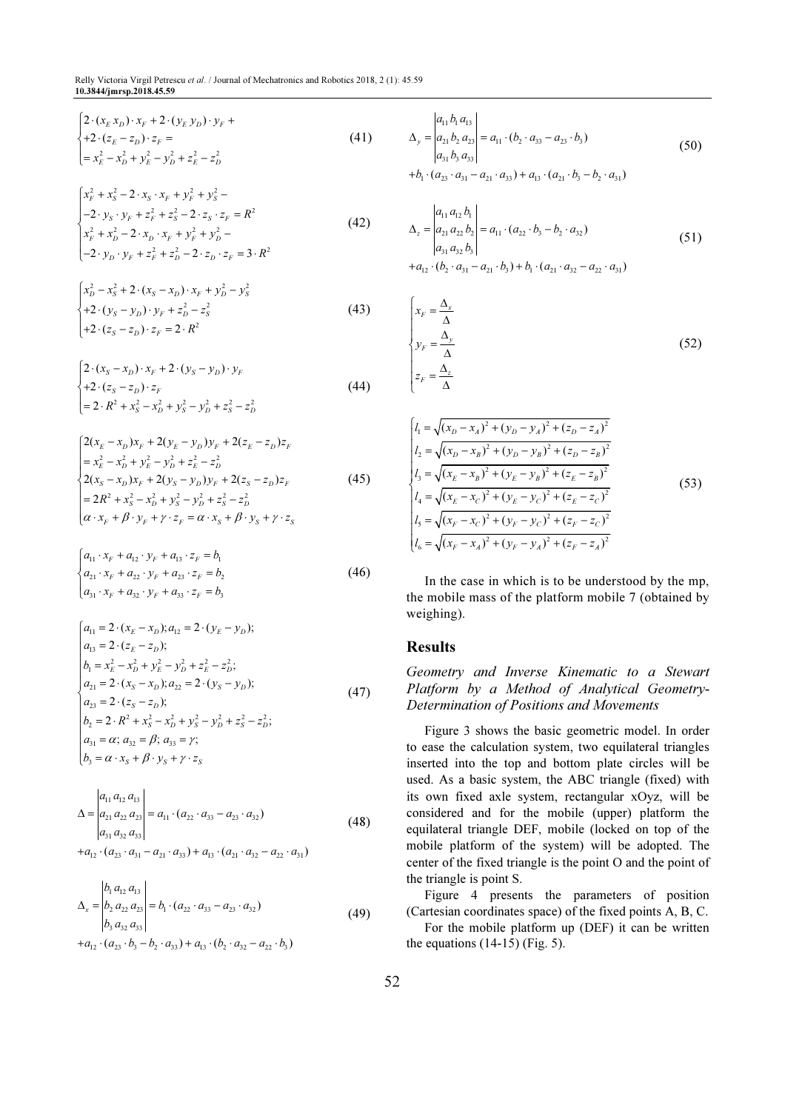Relly Victoria Virgil Petrescu et al. / Journal of Mechatronics and Robotics 2018, 2 (1): 45.59 10.3844/jmrsp.2018.45.59

$$
\begin{cases} 2 \cdot (x_E x_D) \cdot x_F + 2 \cdot (y_E y_D) \cdot y_F + \\ + 2 \cdot (z_E - z_D) \cdot z_F = \\ = x_E^2 - x_D^2 + y_E^2 - y_D^2 + z_E^2 - z_D^2 \end{cases} \tag{41}
$$

$$
\begin{cases}\nx_F^2 + x_S^2 - 2 \cdot x_S \cdot x_F + y_F^2 + y_S^2 - \\
-2 \cdot y_S \cdot y_F + z_F^2 + z_S^2 - 2 \cdot z_S \cdot z_F = R^2 \\
x_F^2 + x_D^2 - 2 \cdot x_D \cdot x_F + y_F^2 + y_D^2 - \\
-2 \cdot y_D \cdot y_F + z_F^2 + z_D^2 - 2 \cdot z_D \cdot z_F = 3 \cdot R^2\n\end{cases} \tag{42}
$$

$$
\begin{cases}\nx_D^2 - x_S^2 + 2 \cdot (x_S - x_D) \cdot x_F + y_D^2 - y_S^2 \\
+ 2 \cdot (y_S - y_D) \cdot y_F + z_D^2 - z_S^2 \\
+ 2 \cdot (z_S - z_D) \cdot z_F = 2 \cdot R^2\n\end{cases}
$$
\n(43)

$$
\begin{cases}\n2 \cdot (x_S - x_D) \cdot x_F + 2 \cdot (y_S - y_D) \cdot y_F \\
+ 2 \cdot (z_S - z_D) \cdot z_F \\
= 2 \cdot R^2 + x_S^2 - x_D^2 + y_S^2 - y_D^2 + z_S^2 - z_D^2\n\end{cases}
$$
\n(44)

$$
\begin{cases}\n2(x_E - x_D)x_F + 2(y_E - y_D)y_F + 2(z_E - z_D)z_F \\
= x_E^2 - x_D^2 + y_E^2 - y_D^2 + z_E^2 - z_D^2\n\end{cases}
$$
\n
$$
\begin{cases}\n2(x_S - x_D)x_F + 2(y_S - y_D)y_F + 2(z_S - z_D)z_F \\
= 2R^2 + x_S^2 - x_D^2 + y_S^2 - y_D^2 + z_S^2 - z_D^2 \\
\alpha \cdot x_F + \beta \cdot y_F + \gamma \cdot z_F = \alpha \cdot x_S + \beta \cdot y_S + \gamma \cdot z_S\n\end{cases}
$$
\n(45)

$$
\begin{cases}\na_{11} \cdot x_F + a_{12} \cdot y_F + a_{13} \cdot z_F = b_1 \\
a_{21} \cdot x_F + a_{22} \cdot y_F + a_{23} \cdot z_F = b_2 \\
a_{31} \cdot x_F + a_{32} \cdot y_F + a_{33} \cdot z_F = b_3\n\end{cases}
$$
\n(46)

$$
\begin{cases}\na_{11} = 2 \cdot (x_E - x_D); a_{12} = 2 \cdot (y_E - y_D); \\
a_{13} = 2 \cdot (z_E - z_D); \\
b_1 = x_E^2 - x_D^2 + y_E^2 - y_D^2 + z_E^2 - z_D^2; \\
a_{21} = 2 \cdot (x_S - x_D); a_{22} = 2 \cdot (y_S - y_D); \\
a_{23} = 2 \cdot (z_S - z_D); \\
b_2 = 2 \cdot R^2 + x_S^2 - x_D^2 + y_S^2 - y_D^2 + z_S^2 - z_D^2; \\
a_{31} = \alpha; a_{32} = \beta; a_{33} = \gamma; \\
b_3 = \alpha \cdot x_S + \beta \cdot y_S + \gamma \cdot z_S\n\end{cases} (47)
$$

$$
\Delta = \begin{vmatrix} a_{11} a_{12} a_{13} \\ a_{21} a_{22} a_{23} \\ a_{31} a_{32} a_{33} \end{vmatrix} = a_{11} \cdot (a_{22} \cdot a_{33} - a_{23} \cdot a_{32})
$$
 (48)

 $+a_{12} \cdot (a_{23} \cdot a_{31} - a_{21} \cdot a_{33}) + a_{13} \cdot (a_{21} \cdot a_{32} - a_{22} \cdot a_{31})$ 

$$
\Delta_x = \begin{vmatrix} b_1 a_{12} a_{13} \\ b_2 a_{22} a_{23} \\ b_3 a_{32} a_{33} \end{vmatrix} = b_1 \cdot (a_{22} \cdot a_{33} - a_{23} \cdot a_{32})
$$
(49)

$$
+a_{12}\cdot (a_{23}\cdot b_3-b_2\cdot a_{33})+a_{13}\cdot (b_2\cdot a_{32}-a_{22}\cdot b_3)
$$

$$
\Delta_{y} = \begin{vmatrix} a_{11}b_{1} a_{13} \\ a_{21}b_{2} a_{23} \\ a_{31}b_{3} a_{33} \end{vmatrix} = a_{11} \cdot (b_{2} \cdot a_{33} - a_{23} \cdot b_{3})
$$
\n
$$
+ b_{1} \cdot (a_{23} \cdot a_{31} - a_{21} \cdot a_{33}) + a_{13} \cdot (a_{21} \cdot b_{3} - b_{2} \cdot a_{31})
$$
\n(50)

$$
\Delta_z = \begin{vmatrix} a_{11} a_{12} b_1 \\ a_{21} a_{22} b_2 \\ a_{31} a_{32} b_3 \end{vmatrix} = a_{11} \cdot (a_{22} \cdot b_3 - b_2 \cdot a_{32})
$$
 (51)

$$
+a_{12}\cdot(b_2\cdot a_{31}-a_{21}\cdot b_3)+b_1\cdot(a_{21}\cdot a_{32}-a_{22}\cdot a_{31})
$$

$$
\begin{cases}\n x_F = \frac{\Delta_x}{\Delta} \\
 y_F = \frac{\Delta_y}{\Delta} \\
 z_F = \frac{\Delta_z}{\Delta}\n\end{cases}
$$
\n(52)

$$
\begin{cases}\n l_1 = \sqrt{(x_D - x_A)^2 + (y_D - y_A)^2 + (z_D - z_A)^2} \\
 l_2 = \sqrt{(x_D - x_B)^2 + (y_D - y_B)^2 + (z_D - z_B)^2} \\
 l_3 = \sqrt{(x_E - x_B)^2 + (y_E - y_B)^2 + (z_E - z_B)^2} \\
 l_4 = \sqrt{(x_E - x_C)^2 + (y_E - y_C)^2 + (z_E - z_C)^2} \\
 l_5 = \sqrt{(x_F - x_C)^2 + (y_F - y_C)^2 + (z_F - z_C)^2} \\
 l_6 = \sqrt{(x_F - x_A)^2 + (y_F - y_A)^2 + (z_F - z_A)^2}\n \end{cases} (53)
$$

In the case in which is to be understood by the mp, the mobile mass of the platform mobile 7 (obtained by weighing).

## Results

Geometry and Inverse Kinematic to a Stewart Platform by a Method of Analytical Geometry-Determination of Positions and Movements

Figure 3 shows the basic geometric model. In order to ease the calculation system, two equilateral triangles inserted into the top and bottom plate circles will be used. As a basic system, the ABC triangle (fixed) with its own fixed axle system, rectangular xOyz, will be considered and for the mobile (upper) platform the equilateral triangle DEF, mobile (locked on top of the mobile platform of the system) will be adopted. The center of the fixed triangle is the point O and the point of the triangle is point S.

Figure 4 presents the parameters of position (Cartesian coordinates space) of the fixed points A, B, C.

For the mobile platform up (DEF) it can be written the equations  $(14-15)$  (Fig. 5).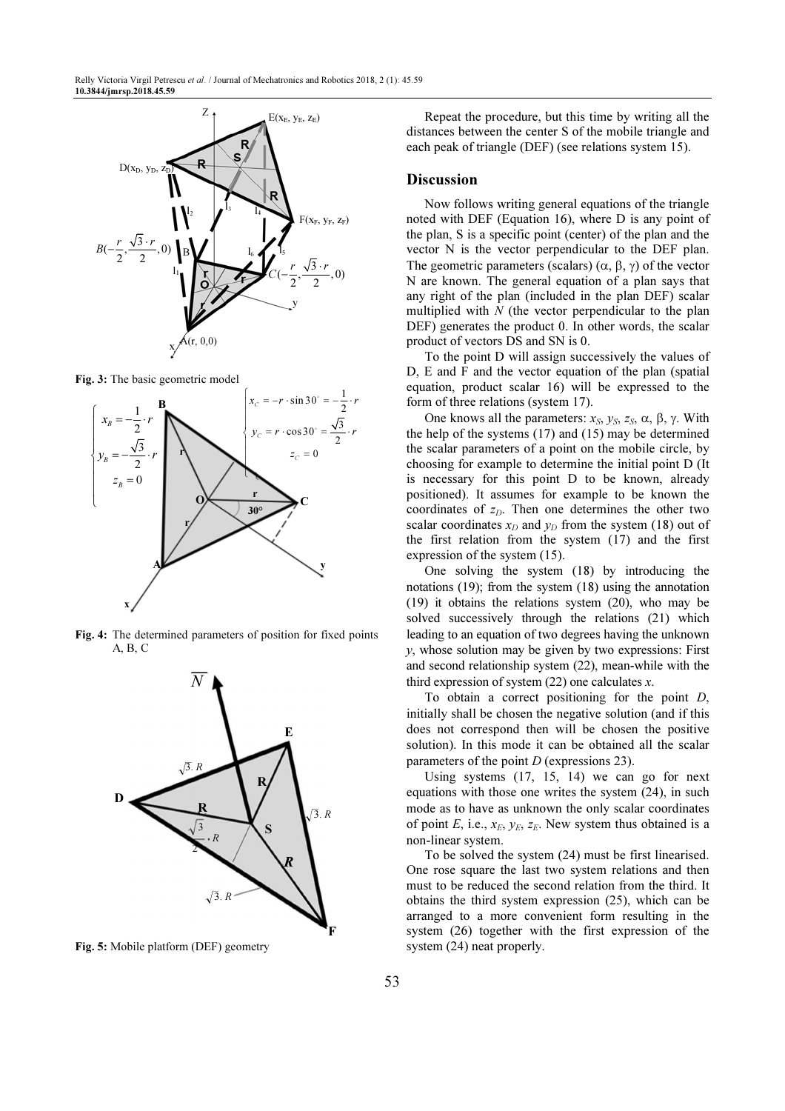

Fig. 3: The basic geometric model



Fig. 4: The determined parameters of position for fixed points A, B, C



Fig. 5: Mobile platform (DEF) geometry

Repeat the procedure, but this time by writing all the distances between the center S of the mobile triangle and each peak of triangle (DEF) (see relations system 15).

#### Discussion

Now follows writing general equations of the triangle noted with DEF (Equation 16), where D is any point of the plan, S is a specific point (center) of the plan and the vector N is the vector perpendicular to the DEF plan. The geometric parameters (scalars)  $(α, β, γ)$  of the vector N are known. The general equation of a plan says that any right of the plan (included in the plan DEF) scalar multiplied with  $N$  (the vector perpendicular to the plan DEF) generates the product 0. In other words, the scalar product of vectors DS and SN is 0.

To the point D will assign successively the values of D, E and F and the vector equation of the plan (spatial equation, product scalar 16) will be expressed to the form of three relations (system 17).

One knows all the parameters:  $x_S$ ,  $y_S$ ,  $z_S$ , α, β, γ. With the help of the systems (17) and (15) may be determined the scalar parameters of a point on the mobile circle, by choosing for example to determine the initial point D (It is necessary for this point D to be known, already positioned). It assumes for example to be known the coordinates of  $z<sub>D</sub>$ . Then one determines the other two scalar coordinates  $x_D$  and  $y_D$  from the system (18) out of the first relation from the system (17) and the first expression of the system (15).

One solving the system (18) by introducing the notations (19); from the system (18) using the annotation (19) it obtains the relations system (20), who may be solved successively through the relations (21) which leading to an equation of two degrees having the unknown  $y$ , whose solution may be given by two expressions: First and second relationship system (22), mean-while with the third expression of system  $(22)$  one calculates x.

To obtain a correct positioning for the point D, initially shall be chosen the negative solution (and if this does not correspond then will be chosen the positive solution). In this mode it can be obtained all the scalar parameters of the point D (expressions 23).

Using systems (17, 15, 14) we can go for next equations with those one writes the system (24), in such mode as to have as unknown the only scalar coordinates of point E, i.e.,  $x_E$ ,  $y_E$ ,  $z_E$ . New system thus obtained is a non-linear system.

To be solved the system (24) must be first linearised. One rose square the last two system relations and then must to be reduced the second relation from the third. It obtains the third system expression (25), which can be arranged to a more convenient form resulting in the system (26) together with the first expression of the system (24) neat properly.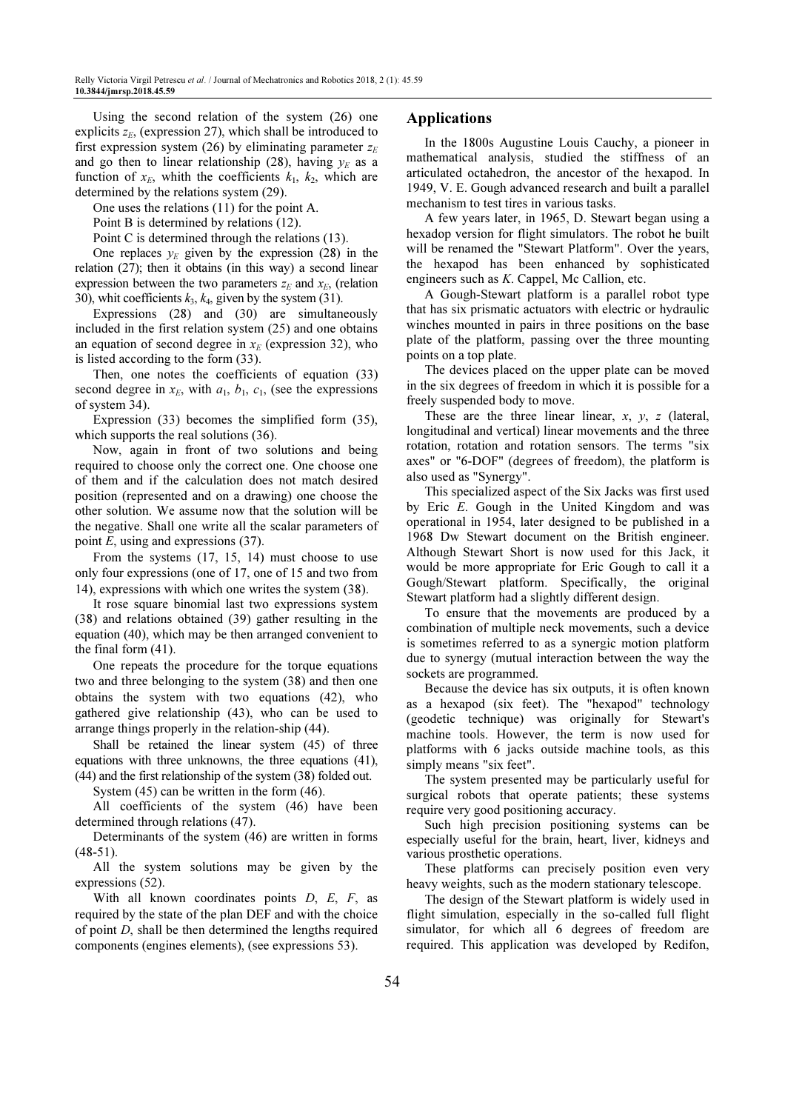Using the second relation of the system (26) one explicits  $z_E$ , (expression 27), which shall be introduced to first expression system (26) by eliminating parameter  $z_E$ and go then to linear relationship (28), having  $y_F$  as a function of  $x_E$ , whith the coefficients  $k_1$ ,  $k_2$ , which are determined by the relations system (29).

One uses the relations (11) for the point A.

Point B is determined by relations (12).

Point C is determined through the relations (13).

One replaces  $y_F$  given by the expression (28) in the relation (27); then it obtains (in this way) a second linear expression between the two parameters  $z_F$  and  $x_F$ , (relation 30), whit coefficients  $k_3$ ,  $k_4$ , given by the system (31).

Expressions (28) and (30) are simultaneously included in the first relation system (25) and one obtains an equation of second degree in  $x_F$  (expression 32), who is listed according to the form (33).

Then, one notes the coefficients of equation (33) second degree in  $x_E$ , with  $a_1$ ,  $b_1$ ,  $c_1$ , (see the expressions of system 34).

Expression (33) becomes the simplified form (35), which supports the real solutions (36).

Now, again in front of two solutions and being required to choose only the correct one. One choose one of them and if the calculation does not match desired position (represented and on a drawing) one choose the other solution. We assume now that the solution will be the negative. Shall one write all the scalar parameters of point E, using and expressions (37).

From the systems (17, 15, 14) must choose to use only four expressions (one of 17, one of 15 and two from 14), expressions with which one writes the system (38).

It rose square binomial last two expressions system (38) and relations obtained (39) gather resulting in the equation (40), which may be then arranged convenient to the final form (41).

One repeats the procedure for the torque equations two and three belonging to the system (38) and then one obtains the system with two equations (42), who gathered give relationship (43), who can be used to arrange things properly in the relation-ship (44).

Shall be retained the linear system (45) of three equations with three unknowns, the three equations (41), (44) and the first relationship of the system (38) folded out.

System (45) can be written in the form (46).

All coefficients of the system (46) have been determined through relations (47).

Determinants of the system (46) are written in forms (48-51).

All the system solutions may be given by the expressions (52).

With all known coordinates points  $D, E, F$ , as required by the state of the plan DEF and with the choice of point D, shall be then determined the lengths required components (engines elements), (see expressions 53).

## Applications

In the 1800s Augustine Louis Cauchy, a pioneer in mathematical analysis, studied the stiffness of an articulated octahedron, the ancestor of the hexapod. In 1949, V. E. Gough advanced research and built a parallel mechanism to test tires in various tasks.

A few years later, in 1965, D. Stewart began using a hexadop version for flight simulators. The robot he built will be renamed the "Stewart Platform". Over the years, the hexapod has been enhanced by sophisticated engineers such as K. Cappel, Mc Callion, etc.

A Gough-Stewart platform is a parallel robot type that has six prismatic actuators with electric or hydraulic winches mounted in pairs in three positions on the base plate of the platform, passing over the three mounting points on a top plate.

The devices placed on the upper plate can be moved in the six degrees of freedom in which it is possible for a freely suspended body to move.

These are the three linear linear,  $x$ ,  $y$ ,  $z$  (lateral, longitudinal and vertical) linear movements and the three rotation, rotation and rotation sensors. The terms "six axes" or "6-DOF" (degrees of freedom), the platform is also used as "Synergy".

This specialized aspect of the Six Jacks was first used by Eric E. Gough in the United Kingdom and was operational in 1954, later designed to be published in a 1968 Dw Stewart document on the British engineer. Although Stewart Short is now used for this Jack, it would be more appropriate for Eric Gough to call it a Gough/Stewart platform. Specifically, the original Stewart platform had a slightly different design.

To ensure that the movements are produced by a combination of multiple neck movements, such a device is sometimes referred to as a synergic motion platform due to synergy (mutual interaction between the way the sockets are programmed.

Because the device has six outputs, it is often known as a hexapod (six feet). The "hexapod" technology (geodetic technique) was originally for Stewart's machine tools. However, the term is now used for platforms with 6 jacks outside machine tools, as this simply means "six feet".

The system presented may be particularly useful for surgical robots that operate patients; these systems require very good positioning accuracy.

Such high precision positioning systems can be especially useful for the brain, heart, liver, kidneys and various prosthetic operations.

These platforms can precisely position even very heavy weights, such as the modern stationary telescope.

The design of the Stewart platform is widely used in flight simulation, especially in the so-called full flight simulator, for which all 6 degrees of freedom are required. This application was developed by Redifon,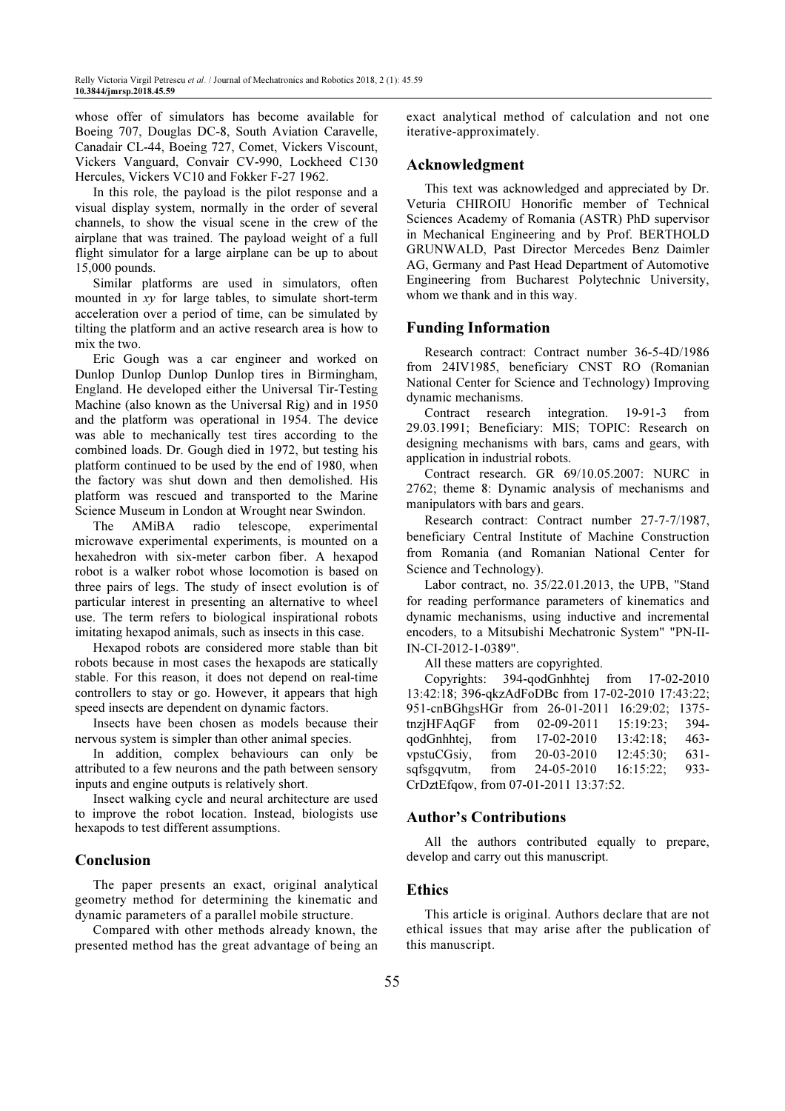whose offer of simulators has become available for Boeing 707, Douglas DC-8, South Aviation Caravelle, Canadair CL-44, Boeing 727, Comet, Vickers Viscount, Vickers Vanguard, Convair CV-990, Lockheed C130 Hercules, Vickers VC10 and Fokker F-27 1962.

In this role, the payload is the pilot response and a visual display system, normally in the order of several channels, to show the visual scene in the crew of the airplane that was trained. The payload weight of a full flight simulator for a large airplane can be up to about 15,000 pounds.

Similar platforms are used in simulators, often mounted in  $xy$  for large tables, to simulate short-term acceleration over a period of time, can be simulated by tilting the platform and an active research area is how to mix the two.

Eric Gough was a car engineer and worked on Dunlop Dunlop Dunlop Dunlop tires in Birmingham, England. He developed either the Universal Tir-Testing Machine (also known as the Universal Rig) and in 1950 and the platform was operational in 1954. The device was able to mechanically test tires according to the combined loads. Dr. Gough died in 1972, but testing his platform continued to be used by the end of 1980, when the factory was shut down and then demolished. His platform was rescued and transported to the Marine Science Museum in London at Wrought near Swindon.

The AMiBA radio telescope, experimental microwave experimental experiments, is mounted on a hexahedron with six-meter carbon fiber. A hexapod robot is a walker robot whose locomotion is based on three pairs of legs. The study of insect evolution is of particular interest in presenting an alternative to wheel use. The term refers to biological inspirational robots imitating hexapod animals, such as insects in this case.

Hexapod robots are considered more stable than bit robots because in most cases the hexapods are statically stable. For this reason, it does not depend on real-time controllers to stay or go. However, it appears that high speed insects are dependent on dynamic factors.

Insects have been chosen as models because their nervous system is simpler than other animal species.

In addition, complex behaviours can only be attributed to a few neurons and the path between sensory inputs and engine outputs is relatively short.

Insect walking cycle and neural architecture are used to improve the robot location. Instead, biologists use hexapods to test different assumptions.

# Conclusion

The paper presents an exact, original analytical geometry method for determining the kinematic and dynamic parameters of a parallel mobile structure.

Compared with other methods already known, the presented method has the great advantage of being an exact analytical method of calculation and not one iterative-approximately.

## Acknowledgment

This text was acknowledged and appreciated by Dr. Veturia CHIROIU Honorific member of Technical Sciences Academy of Romania (ASTR) PhD supervisor in Mechanical Engineering and by Prof. BERTHOLD GRUNWALD, Past Director Mercedes Benz Daimler AG, Germany and Past Head Department of Automotive Engineering from Bucharest Polytechnic University, whom we thank and in this way.

## Funding Information

Research contract: Contract number 36-5-4D/1986 from 24IV1985, beneficiary CNST RO (Romanian National Center for Science and Technology) Improving dynamic mechanisms.

Contract research integration. 19-91-3 from 29.03.1991; Beneficiary: MIS; TOPIC: Research on designing mechanisms with bars, cams and gears, with application in industrial robots.

Contract research. GR 69/10.05.2007: NURC in 2762; theme 8: Dynamic analysis of mechanisms and manipulators with bars and gears.

Research contract: Contract number 27‐7‐7/1987, beneficiary Central Institute of Machine Construction from Romania (and Romanian National Center for Science and Technology).

Labor contract, no. 35/22.01.2013, the UPB, "Stand for reading performance parameters of kinematics and dynamic mechanisms, using inductive and incremental encoders, to a Mitsubishi Mechatronic System" "PN-II-IN-CI-2012-1-0389".

All these matters are copyrighted.

Copyrights: 394-qodGnhhtej from 17-02-2010 13:42:18; 396-qkzAdFoDBc from 17-02-2010 17:43:22; 951-cnBGhgsHGr from 26-01-2011 16:29:02; 1375 tnzjHFAqGF from 02-09-2011 15:19:23; 394 qodGnhhtej, from 17-02-2010 13:42:18; 463 vpstuCGsiy, from 20-03-2010 12:45:30; 631 sqfsgqvutm, from 24-05-2010 16:15:22; 933- CrDztEfqow, from 07-01-2011 13:37:52.

## Author's Contributions

All the authors contributed equally to prepare, develop and carry out this manuscript.

# Ethics

This article is original. Authors declare that are not ethical issues that may arise after the publication of this manuscript.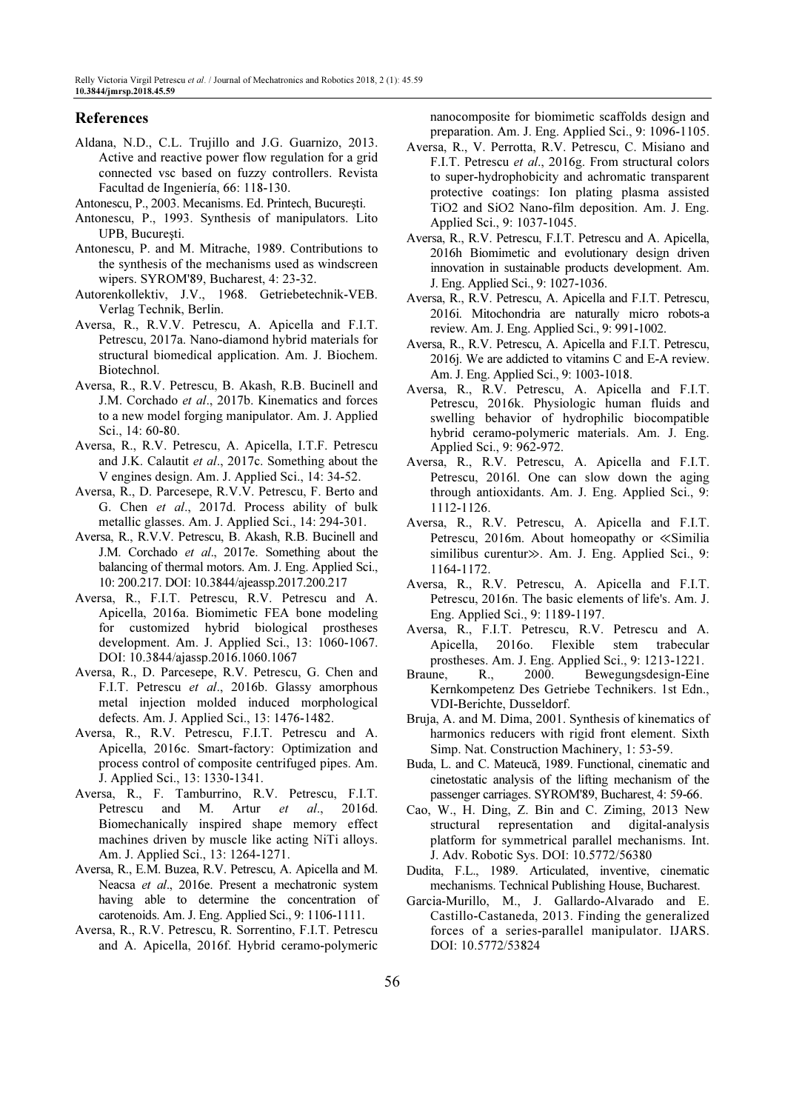## References

Aldana, N.D., C.L. Trujillo and J.G. Guarnizo, 2013. Active and reactive power flow regulation for a grid connected vsc based on fuzzy controllers. Revista Facultad de Ingeniería, 66: 118-130.

Antonescu, P., 2003. Mecanisms. Ed. Printech, Bucureşti.

- Antonescu, P., 1993. Synthesis of manipulators. Lito UPB, Bucureşti.
- Antonescu, P. and M. Mitrache, 1989. Contributions to the synthesis of the mechanisms used as windscreen wipers. SYROM'89, Bucharest, 4: 23-32.
- Autorenkollektiv, J.V., 1968. Getriebetechnik-VEB. Verlag Technik, Berlin.
- Aversa, R., R.V.V. Petrescu, A. Apicella and F.I.T. Petrescu, 2017a. Nano-diamond hybrid materials for structural biomedical application. Am. J. Biochem. Biotechnol.
- Aversa, R., R.V. Petrescu, B. Akash, R.B. Bucinell and J.M. Corchado et al., 2017b. Kinematics and forces to a new model forging manipulator. Am. J. Applied Sci., 14: 60-80.
- Aversa, R., R.V. Petrescu, A. Apicella, I.T.F. Petrescu and J.K. Calautit et al., 2017c. Something about the V engines design. Am. J. Applied Sci., 14: 34-52.
- Aversa, R., D. Parcesepe, R.V.V. Petrescu, F. Berto and G. Chen et al., 2017d. Process ability of bulk metallic glasses. Am. J. Applied Sci., 14: 294-301.
- Aversa, R., R.V.V. Petrescu, B. Akash, R.B. Bucinell and J.M. Corchado et al., 2017e. Something about the balancing of thermal motors. Am. J. Eng. Applied Sci., 10: 200.217. DOI: 10.3844/ajeassp.2017.200.217
- Aversa, R., F.I.T. Petrescu, R.V. Petrescu and A. Apicella, 2016a. Biomimetic FEA bone modeling for customized hybrid biological prostheses development. Am. J. Applied Sci., 13: 1060-1067. DOI: 10.3844/ajassp.2016.1060.1067
- Aversa, R., D. Parcesepe, R.V. Petrescu, G. Chen and F.I.T. Petrescu et al., 2016b. Glassy amorphous metal injection molded induced morphological defects. Am. J. Applied Sci., 13: 1476-1482.
- Aversa, R., R.V. Petrescu, F.I.T. Petrescu and A. Apicella, 2016c. Smart-factory: Optimization and process control of composite centrifuged pipes. Am. J. Applied Sci., 13: 1330-1341.
- Aversa, R., F. Tamburrino, R.V. Petrescu, F.I.T. Petrescu and M. Artur et al., 2016d. Biomechanically inspired shape memory effect machines driven by muscle like acting NiTi alloys. Am. J. Applied Sci., 13: 1264-1271.
- Aversa, R., E.M. Buzea, R.V. Petrescu, A. Apicella and M. Neacsa et al., 2016e. Present a mechatronic system having able to determine the concentration of carotenoids. Am. J. Eng. Applied Sci., 9: 1106-1111.
- Aversa, R., R.V. Petrescu, R. Sorrentino, F.I.T. Petrescu and A. Apicella, 2016f. Hybrid ceramo-polymeric

nanocomposite for biomimetic scaffolds design and preparation. Am. J. Eng. Applied Sci., 9: 1096-1105.

- Aversa, R., V. Perrotta, R.V. Petrescu, C. Misiano and F.I.T. Petrescu et al., 2016g. From structural colors to super-hydrophobicity and achromatic transparent protective coatings: Ion plating plasma assisted TiO2 and SiO2 Nano-film deposition. Am. J. Eng. Applied Sci., 9: 1037-1045.
- Aversa, R., R.V. Petrescu, F.I.T. Petrescu and A. Apicella, 2016h Biomimetic and evolutionary design driven innovation in sustainable products development. Am. J. Eng. Applied Sci., 9: 1027-1036.
- Aversa, R., R.V. Petrescu, A. Apicella and F.I.T. Petrescu, 2016i. Mitochondria are naturally micro robots-a review. Am. J. Eng. Applied Sci., 9: 991-1002.
- Aversa, R., R.V. Petrescu, A. Apicella and F.I.T. Petrescu, 2016j. We are addicted to vitamins C and E-A review. Am. J. Eng. Applied Sci., 9: 1003-1018.
- Aversa, R., R.V. Petrescu, A. Apicella and F.I.T. Petrescu, 2016k. Physiologic human fluids and swelling behavior of hydrophilic biocompatible hybrid ceramo-polymeric materials. Am. J. Eng. Applied Sci., 9: 962-972.
- Aversa, R., R.V. Petrescu, A. Apicella and F.I.T. Petrescu, 2016l. One can slow down the aging through antioxidants. Am. J. Eng. Applied Sci., 9: 1112-1126.
- Aversa, R., R.V. Petrescu, A. Apicella and F.I.T. Petrescu, 2016m. About homeopathy or ≪Similia similibus curentur≫. Am. J. Eng. Applied Sci., 9: 1164-1172.
- Aversa, R., R.V. Petrescu, A. Apicella and F.I.T. Petrescu, 2016n. The basic elements of life's. Am. J. Eng. Applied Sci., 9: 1189-1197.
- Aversa, R., F.I.T. Petrescu, R.V. Petrescu and A. Apicella, 2016o. Flexible stem trabecular prostheses. Am. J. Eng. Applied Sci., 9: 1213-1221.
- Braune, R., 2000. Bewegungsdesign-Eine Kernkompetenz Des Getriebe Technikers. 1st Edn., VDI-Berichte, Dusseldorf.
- Bruja, A. and M. Dima, 2001. Synthesis of kinematics of harmonics reducers with rigid front element. Sixth Simp. Nat. Construction Machinery, 1: 53-59.
- Buda, L. and C. Mateucă, 1989. Functional, cinematic and cinetostatic analysis of the lifting mechanism of the passenger carriages. SYROM'89, Bucharest, 4: 59-66.
- Cao, W., H. Ding, Z. Bin and C. Ziming, 2013 New structural representation and digital-analysis platform for symmetrical parallel mechanisms. Int. J. Adv. Robotic Sys. DOI: 10.5772/56380
- Dudita, F.L., 1989. Articulated, inventive, cinematic mechanisms. Technical Publishing House, Bucharest.
- Garcia-Murillo, M., J. Gallardo-Alvarado and E. Castillo-Castaneda, 2013. Finding the generalized forces of a series-parallel manipulator. IJARS. DOI: 10.5772/53824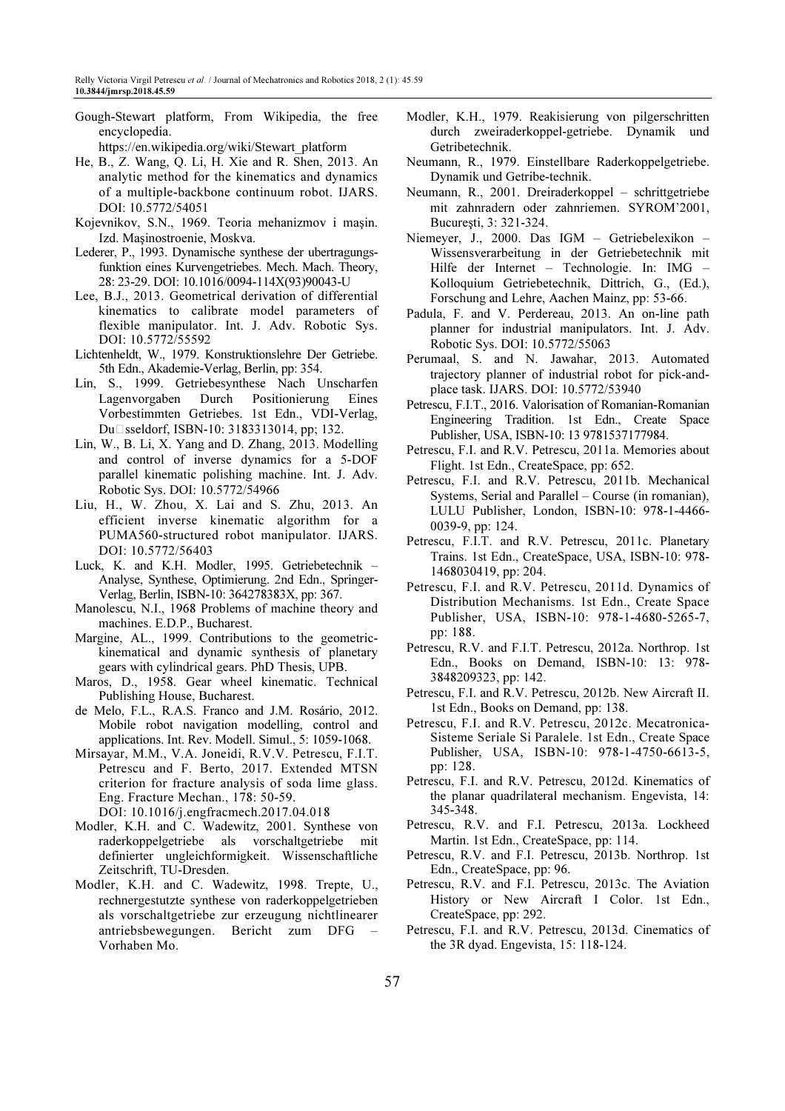Gough-Stewart platform, From Wikipedia, the free encyclopedia.

https://en.wikipedia.org/wiki/Stewart\_platform

- He, B., Z. Wang, Q. Li, H. Xie and R. Shen, 2013. An analytic method for the kinematics and dynamics of a multiple-backbone continuum robot. IJARS. DOI: 10.5772/54051
- Kojevnikov, S.N., 1969. Teoria mehanizmov i maşin. Izd. Maşinostroenie, Moskva.
- Lederer, P., 1993. Dynamische synthese der ubertragungsfunktion eines Kurvengetriebes. Mech. Mach. Theory, 28: 23-29. DOI: 10.1016/0094-114X(93)90043-U
- Lee, B.J., 2013. Geometrical derivation of differential kinematics to calibrate model parameters of flexible manipulator. Int. J. Adv. Robotic Sys. DOI: 10.5772/55592
- Lichtenheldt, W., 1979. Konstruktionslehre Der Getriebe. 5th Edn., Akademie-Verlag, Berlin, pp: 354.
- Lin, S., 1999. Getriebesynthese Nach Unscharfen Lagenvorgaben Durch Positionierung Eines Vorbestimmten Getriebes. 1st Edn., VDI-Verlag, Du□sseldorf, ISBN-10: 3183313014, pp; 132.
- Lin, W., B. Li, X. Yang and D. Zhang, 2013. Modelling and control of inverse dynamics for a 5-DOF parallel kinematic polishing machine. Int. J. Adv. Robotic Sys. DOI: 10.5772/54966
- Liu, H., W. Zhou, X. Lai and S. Zhu, 2013. An efficient inverse kinematic algorithm for a PUMA560-structured robot manipulator. IJARS. DOI: 10.5772/56403
- Luck, K. and K.H. Modler, 1995. Getriebetechnik Analyse, Synthese, Optimierung. 2nd Edn., Springer-Verlag, Berlin, ISBN-10: 364278383X, pp: 367.
- Manolescu, N.I., 1968 Problems of machine theory and machines. E.D.P., Bucharest.
- Margine, AL., 1999. Contributions to the geometrickinematical and dynamic synthesis of planetary gears with cylindrical gears. PhD Thesis, UPB.
- Maros, D., 1958. Gear wheel kinematic. Technical Publishing House, Bucharest.
- de Melo, F.L., R.A.S. Franco and J.M. Rosário, 2012. Mobile robot navigation modelling, control and applications. Int. Rev. Modell. Simul., 5: 1059-1068.
- Mirsayar, M.M., V.A. Joneidi, R.V.V. Petrescu, F.I.T. Petrescu and F. Berto, 2017. Extended MTSN criterion for fracture analysis of soda lime glass. Eng. Fracture Mechan., 178: 50-59. DOI: 10.1016/j.engfracmech.2017.04.018
- Modler, K.H. and C. Wadewitz, 2001. Synthese von raderkoppelgetriebe als vorschaltgetriebe mit definierter ungleichformigkeit. Wissenschaftliche Zeitschrift, TU-Dresden.
- Modler, K.H. and C. Wadewitz, 1998. Trepte, U., rechnergestutzte synthese von raderkoppelgetrieben als vorschaltgetriebe zur erzeugung nichtlinearer antriebsbewegungen. Bericht zum DFG – Vorhaben Mo.
- Modler, K.H., 1979. Reakisierung von pilgerschritten durch zweiraderkoppel-getriebe. Dynamik und Getribetechnik.
- Neumann, R., 1979. Einstellbare Raderkoppelgetriebe. Dynamik und Getribe-technik.
- Neumann, R., 2001. Dreiraderkoppel schrittgetriebe mit zahnradern oder zahnriemen. SYROM'2001, Bucureşti, 3: 321-324.
- Niemeyer, J., 2000. Das IGM Getriebelexikon Wissensverarbeitung in der Getriebetechnik mit Hilfe der Internet – Technologie. In: IMG – Kolloquium Getriebetechnik, Dittrich, G., (Ed.), Forschung and Lehre, Aachen Mainz, pp: 53-66.
- Padula, F. and V. Perdereau, 2013. An on-line path planner for industrial manipulators. Int. J. Adv. Robotic Sys. DOI: 10.5772/55063
- Perumaal, S. and N. Jawahar, 2013. Automated trajectory planner of industrial robot for pick-andplace task. IJARS. DOI: 10.5772/53940
- Petrescu, F.I.T., 2016. Valorisation of Romanian-Romanian Engineering Tradition. 1st Edn., Create Space Publisher, USA, ISBN-10: 13 9781537177984.
- Petrescu, F.I. and R.V. Petrescu, 2011a. Memories about Flight. 1st Edn., CreateSpace, pp: 652.
- Petrescu, F.I. and R.V. Petrescu, 2011b. Mechanical Systems, Serial and Parallel – Course (in romanian), LULU Publisher, London, ISBN-10: 978-1-4466- 0039-9, pp: 124.
- Petrescu, F.I.T. and R.V. Petrescu, 2011c. Planetary Trains. 1st Edn., CreateSpace, USA, ISBN-10: 978- 1468030419, pp: 204.
- Petrescu, F.I. and R.V. Petrescu, 2011d. Dynamics of Distribution Mechanisms. 1st Edn., Create Space Publisher, USA, ISBN-10: 978-1-4680-5265-7, pp: 188.
- Petrescu, R.V. and F.I.T. Petrescu, 2012a. Northrop. 1st Edn., Books on Demand, ISBN-10: 13: 978- 3848209323, pp: 142.
- Petrescu, F.I. and R.V. Petrescu, 2012b. New Aircraft II. 1st Edn., Books on Demand, pp: 138.
- Petrescu, F.I. and R.V. Petrescu, 2012c. Mecatronica-Sisteme Seriale Si Paralele. 1st Edn., Create Space Publisher, USA, ISBN-10: 978-1-4750-6613-5, pp: 128.
- Petrescu, F.I. and R.V. Petrescu, 2012d. Kinematics of the planar quadrilateral mechanism. Engevista, 14: 345-348.
- Petrescu, R.V. and F.I. Petrescu, 2013a. Lockheed Martin. 1st Edn., CreateSpace, pp: 114.
- Petrescu, R.V. and F.I. Petrescu, 2013b. Northrop. 1st Edn., CreateSpace, pp: 96.
- Petrescu, R.V. and F.I. Petrescu, 2013c. The Aviation History or New Aircraft I Color. 1st Edn., CreateSpace, pp: 292.
- Petrescu, F.I. and R.V. Petrescu, 2013d. Cinematics of the 3R dyad. Engevista, 15: 118-124.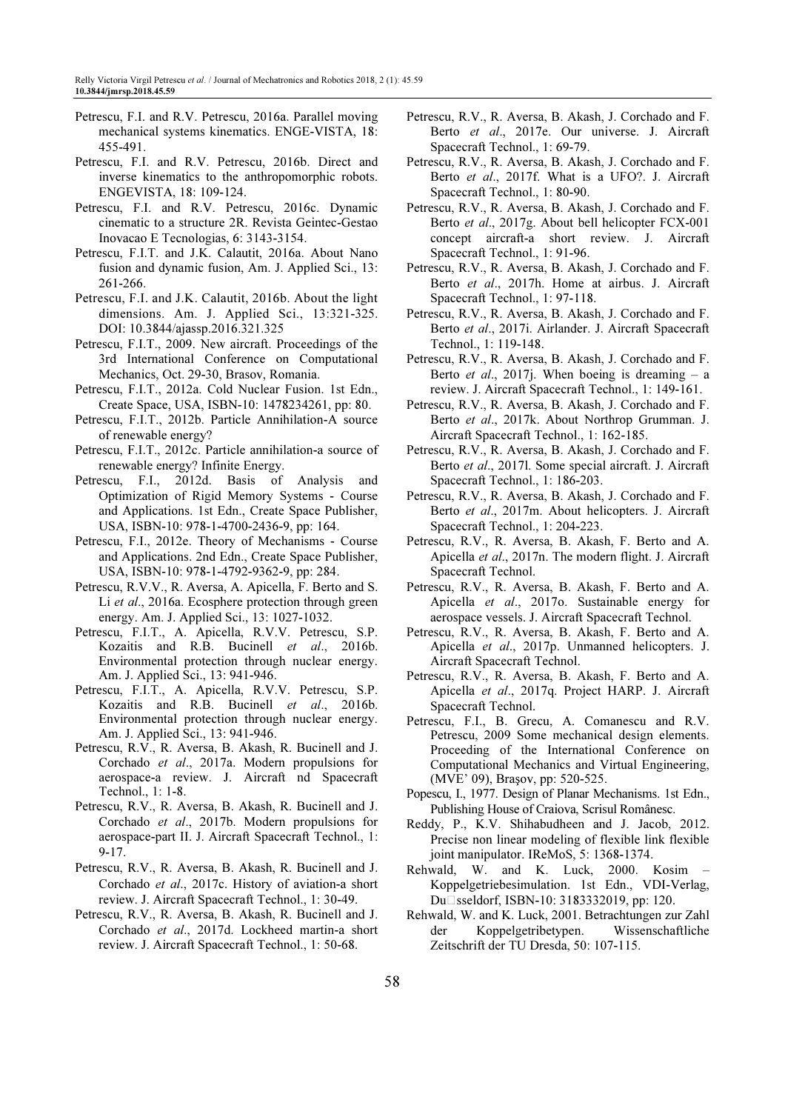- Petrescu, F.I. and R.V. Petrescu, 2016a. Parallel moving mechanical systems kinematics. ENGE-VISTA, 18: 455-491.
- Petrescu, F.I. and R.V. Petrescu, 2016b. Direct and inverse kinematics to the anthropomorphic robots. ENGEVISTA, 18: 109-124.
- Petrescu, F.I. and R.V. Petrescu, 2016c. Dynamic cinematic to a structure 2R. Revista Geintec-Gestao Inovacao E Tecnologias, 6: 3143-3154.
- Petrescu, F.I.T. and J.K. Calautit, 2016a. About Nano fusion and dynamic fusion, Am. J. Applied Sci., 13: 261-266.
- Petrescu, F.I. and J.K. Calautit, 2016b. About the light dimensions. Am. J. Applied Sci., 13:321-325. DOI: 10.3844/ajassp.2016.321.325
- Petrescu, F.I.T., 2009. New aircraft. Proceedings of the 3rd International Conference on Computational Mechanics, Oct. 29-30, Brasov, Romania.
- Petrescu, F.I.T., 2012a. Cold Nuclear Fusion. 1st Edn., Create Space, USA, ISBN-10: 1478234261, pp: 80.
- Petrescu, F.I.T., 2012b. Particle Annihilation-A source of renewable energy?
- Petrescu, F.I.T., 2012c. Particle annihilation-a source of renewable energy? Infinite Energy.
- Petrescu, F.I., 2012d. Basis of Analysis and Optimization of Rigid Memory Systems - Course and Applications. 1st Edn., Create Space Publisher, USA, ISBN-10: 978-1-4700-2436-9, pp: 164.
- Petrescu, F.I., 2012e. Theory of Mechanisms Course and Applications. 2nd Edn., Create Space Publisher, USA, ISBN-10: 978-1-4792-9362-9, pp: 284.
- Petrescu, R.V.V., R. Aversa, A. Apicella, F. Berto and S. Li et al., 2016a. Ecosphere protection through green energy. Am. J. Applied Sci., 13: 1027-1032.
- Petrescu, F.I.T., A. Apicella, R.V.V. Petrescu, S.P. Kozaitis and R.B. Bucinell et al., 2016b. Environmental protection through nuclear energy. Am. J. Applied Sci., 13: 941-946.
- Petrescu, F.I.T., A. Apicella, R.V.V. Petrescu, S.P. Kozaitis and R.B. Bucinell et al., 2016b. Environmental protection through nuclear energy. Am. J. Applied Sci., 13: 941-946.
- Petrescu, R.V., R. Aversa, B. Akash, R. Bucinell and J. Corchado et al., 2017a. Modern propulsions for aerospace-a review. J. Aircraft nd Spacecraft Technol., 1: 1-8.
- Petrescu, R.V., R. Aversa, B. Akash, R. Bucinell and J. Corchado et al., 2017b. Modern propulsions for aerospace-part II. J. Aircraft Spacecraft Technol., 1: 9-17.
- Petrescu, R.V., R. Aversa, B. Akash, R. Bucinell and J. Corchado et al., 2017c. History of aviation-a short review. J. Aircraft Spacecraft Technol., 1: 30-49.
- Petrescu, R.V., R. Aversa, B. Akash, R. Bucinell and J. Corchado et al., 2017d. Lockheed martin-a short review. J. Aircraft Spacecraft Technol., 1: 50-68.
- Petrescu, R.V., R. Aversa, B. Akash, J. Corchado and F. Berto et al., 2017e. Our universe. J. Aircraft Spacecraft Technol., 1: 69-79.
- Petrescu, R.V., R. Aversa, B. Akash, J. Corchado and F. Berto et al., 2017f. What is a UFO?. J. Aircraft Spacecraft Technol., 1: 80-90.
- Petrescu, R.V., R. Aversa, B. Akash, J. Corchado and F. Berto et al., 2017g. About bell helicopter FCX-001 concept aircraft-a short review. J. Aircraft Spacecraft Technol., 1: 91-96.
- Petrescu, R.V., R. Aversa, B. Akash, J. Corchado and F. Berto et al., 2017h. Home at airbus. J. Aircraft Spacecraft Technol., 1: 97-118.
- Petrescu, R.V., R. Aversa, B. Akash, J. Corchado and F. Berto et al., 2017i. Airlander. J. Aircraft Spacecraft Technol., 1: 119-148.
- Petrescu, R.V., R. Aversa, B. Akash, J. Corchado and F. Berto *et al.*, 2017j. When boeing is dreaming  $-$  a review. J. Aircraft Spacecraft Technol., 1: 149-161.
- Petrescu, R.V., R. Aversa, B. Akash, J. Corchado and F. Berto et al., 2017k. About Northrop Grumman. J. Aircraft Spacecraft Technol., 1: 162-185.
- Petrescu, R.V., R. Aversa, B. Akash, J. Corchado and F. Berto et al., 2017l. Some special aircraft. J. Aircraft Spacecraft Technol., 1: 186-203.
- Petrescu, R.V., R. Aversa, B. Akash, J. Corchado and F. Berto et al., 2017m. About helicopters. J. Aircraft Spacecraft Technol., 1: 204-223.
- Petrescu, R.V., R. Aversa, B. Akash, F. Berto and A. Apicella et al., 2017n. The modern flight. J. Aircraft Spacecraft Technol.
- Petrescu, R.V., R. Aversa, B. Akash, F. Berto and A. Apicella et al., 2017o. Sustainable energy for aerospace vessels. J. Aircraft Spacecraft Technol.
- Petrescu, R.V., R. Aversa, B. Akash, F. Berto and A. Apicella et al., 2017p. Unmanned helicopters. J. Aircraft Spacecraft Technol.
- Petrescu, R.V., R. Aversa, B. Akash, F. Berto and A. Apicella et al., 2017q. Project HARP. J. Aircraft Spacecraft Technol.
- Petrescu, F.I., B. Grecu, A. Comanescu and R.V. Petrescu, 2009 Some mechanical design elements. Proceeding of the International Conference on Computational Mechanics and Virtual Engineering, (MVE' 09), Braşov, pp: 520-525.
- Popescu, I., 1977. Design of Planar Mechanisms. 1st Edn., Publishing House of Craiova, Scrisul Românesc.
- Reddy, P., K.V. Shihabudheen and J. Jacob, 2012. Precise non linear modeling of flexible link flexible joint manipulator. IReMoS, 5: 1368-1374.
- Rehwald, W. and K. Luck, 2000. Kosim Koppelgetriebesimulation. 1st Edn., VDI-Verlag, DuPsseldorf, ISBN-10: 3183332019, pp: 120.
- Rehwald, W. and K. Luck, 2001. Betrachtungen zur Zahl der Koppelgetribetypen. Wissenschaftliche Zeitschrift der TU Dresda, 50: 107-115.